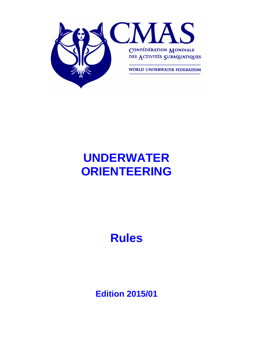

# **UNDERWATER ORIENTEERING**

# **Rules**

**Edition 2015/01**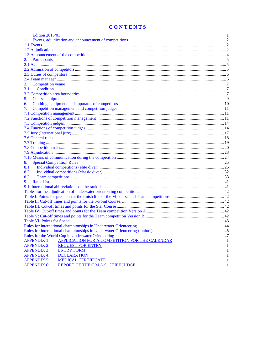## **CONTENTS**

| <b>Edition 2015/01</b>                                                      | 1              |
|-----------------------------------------------------------------------------|----------------|
| Events, adjudication and announcement of competitions                       | $\overline{2}$ |
|                                                                             |                |
|                                                                             |                |
|                                                                             |                |
| Participants<br>2.                                                          | 5              |
|                                                                             |                |
|                                                                             |                |
|                                                                             |                |
|                                                                             |                |
| <b>Competition</b> venue<br>3.                                              | 7              |
| 3.1.                                                                        |                |
|                                                                             |                |
| Course equipment<br>5.                                                      | 9              |
| Clothing, equipment and apparatus of competitors<br>6.                      | 10             |
| Competition management and competition judges<br>7.                         | 11             |
|                                                                             |                |
|                                                                             |                |
|                                                                             |                |
|                                                                             |                |
|                                                                             |                |
|                                                                             |                |
|                                                                             |                |
|                                                                             |                |
|                                                                             |                |
|                                                                             |                |
| <b>Special Competition Rules</b><br>8.                                      | 25             |
| 8.1                                                                         |                |
| 8.2                                                                         |                |
| 8.3                                                                         |                |
| <b>Rank List</b><br>9.                                                      | 41             |
|                                                                             |                |
| Tables for the adjudication of underwater orienteering competitions         | 42             |
|                                                                             |                |
|                                                                             |                |
|                                                                             |                |
|                                                                             |                |
|                                                                             |                |
|                                                                             |                |
| Rules for international championships in Underwater Orienteering            | 44             |
| Rules for international championships in Underwater Orienteering (juniors)  | 45             |
| Rules for the World Cup in Underwater Orienteering                          | 47             |
| <b>APPLICATION FOR A COMPETITION FOR THE CALENDAR</b><br><b>APPENDIX 1:</b> | 1              |
| <b>APPENDIX 2:</b><br><b>REQUEST FOR ENTRY</b>                              | 1              |
| <b>APPENDIX 3:</b><br><b>ENTRY FORM</b>                                     | 1              |
| <b>APPENDIX 4:</b><br><b>DECLARATION</b>                                    | 1              |
| <b>MEDICAL CERTIFICATE</b><br><b>APPENDIX 5:</b>                            | 1              |
| <b>APPENDIX 6:</b><br>REPORT OF THE C.M.A.S. CHIEF JUDGE                    | 1              |
|                                                                             |                |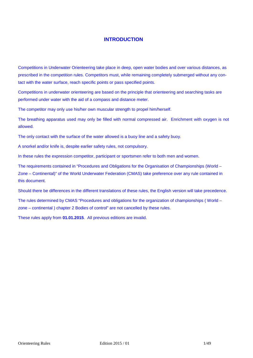## **INTRODUCTION**

Competitions in Underwater Orienteering take place in deep, open water bodies and over various distances, as prescribed in the competition rules. Competitors must, while remaining completely submerged without any contact with the water surface, reach specific points or pass specified points.

Competitions in underwater orienteering are based on the principle that orienteering and searching tasks are performed under water with the aid of a compass and distance meter.

The competitor may only use his/her own muscular strength to propel him/herself.

The breathing apparatus used may only be filled with normal compressed air. Enrichment with oxygen is not allowed.

The only contact with the surface of the water allowed is a buoy line and a safety buoy.

A snorkel and/or knife is, despite earlier safety rules, not compulsory.

In these rules the expression competitor, participant or sportsmen refer to both men and women.

The requirements contained in "Procedures and Obligations for the Organisation of Championships (World – Zone – Continental)" of the World Underwater Federation (CMAS) take preference over any rule contained in this document.

Should there be differences in the different translations of these rules, the English version will take precedence.

The rules determined by CMAS "Procedures and obligations for the organization of championships ( World – zone – continental ) chapter 2 Bodies of control" are not cancelled by these rules.

These rules apply from **01.01.2015**. All previous editions are invalid.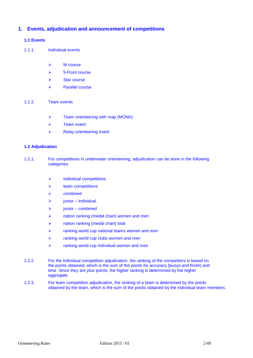## **1. Events, adjudication and announcement of competitions**

#### **1.1 Events**

- 1.1.1. Individual events
	- $\triangleright$  M course
	- $\geq$  5-Point course
	- $\triangleright$  Star course
	- $\triangleright$  Parallel course
- 1.1.2. Team events
	- $\triangleright$  Team orienteering with map (MONK)
	- $\triangleright$  Team event
	- $\triangleright$  Relay orienteering event

#### **1.2 Adjudication**

- 1.2.1. For competitions in underwater orienteering, adjudication can be done in the following categories:
	- $\triangleright$  individual competitions
	- team competitions
	- $\triangleright$  combined
	- $\triangleright$  junior individual
	- $\triangleright$  junior combined
	- **Example 2** and in anking (medal chart) women and men
	- nation ranking (medal chart) total
	- $\triangleright$  ranking world cup national teams women and men
	- $\triangleright$  ranking world cup clubs women and men
	- $\triangleright$  ranking world cup individual women and men
- 1.2.2. For the individual competition adjudication, the ranking of the competitors is based on the points obtained; which is the sum of the points for accuracy (buoys and finish) and time. Since they are plus points, the higher ranking is determined by the higher aggregate.
- 1.2.3. For team competition adjudication, the ranking of a team is determined by the points obtained by the team, which is the sum of the points obtained by the individual team members.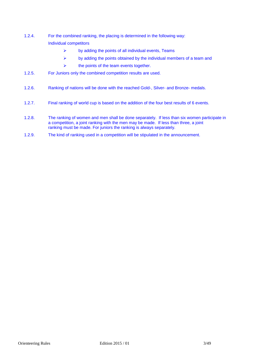- 1.2.4. For the combined ranking, the placing is determined in the following way: Individual competitors
	- $\triangleright$  by adding the points of all individual events, Teams
	- $\triangleright$  by adding the points obtained by the individual members of a team and
	- $\triangleright$  the points of the team events together.
- 1.2.5. For Juniors only the combined competition results are used.
- 1.2.6. Ranking of nations will be done with the reached Gold-, Silver- and Bronze- medals.
- 1.2.7. Final ranking of world cup is based on the addition of the four best results of 6 events.
- 1.2.8. The ranking of women and men shall be done separately. If less than six women participate in a competition, a joint ranking with the men may be made. If less than three, a joint ranking must be made. For juniors the ranking is always separately.
- 1.2.9. The kind of ranking used in a competition will be stipulated in the announcement.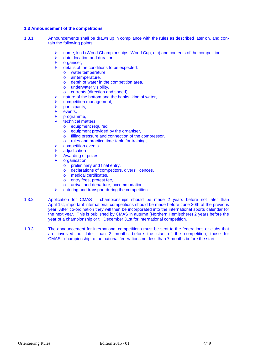#### **1.3 Announcement of the competitions**

- 1.3.1. Announcements shall be drawn up in compliance with the rules as described later on, and contain the following points:
	- name, kind (World Championships, World Cup, etc) and contents of the competition,
	- date, location and duration,
	- $\triangleright$  organiser,
	- $\triangleright$  details of the conditions to be expected:
		- o water temperature,
		- o air temperature,
		- o depth of water in the competition area,
		- o underwater visibility,
		- o currents (direction and speed),
		- nature of the bottom and the banks, kind of water,
	- $\triangleright$  competition management,
	- participants,
	- events,
	- programme,
	- technical matters:
		- o equipment required,
		- o equipment provided by the organiser,
		- o filling pressure and connection of the compressor,
		- o rules and practice time-table for training,
	- competition events
	- adiudication
	- Awarding of prizes
	- organisation:
		- o preliminary and final entry,
		- o declarations of competitors, divers' licences,
		- o medical certificates,
		- o entry fees, protest fee,
		- o arrival and departure, accommodation,
	- $\triangleright$  catering and transport during the competition.
- 1.3.2. Application for CMAS championships should be made 2 years before not later than April 1st, important international competitions should be made before June 30th of the previous year. After co-ordination they will then be incorporated into the international sports calendar for the next year. This is published by CMAS in autumn (Northern Hemisphere) 2 years before the year of a championship or till December 31st for international competition.
- 1.3.3. The announcement for international competitions must be sent to the federations or clubs that are involved not later than 2 months before the start of the competition, those for CMAS - championship to the national federations not less than 7 months before the start.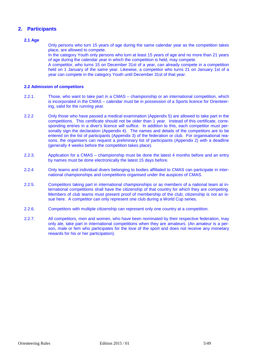## **2. Participants**

#### **2.1 Age**

Only persons who turn 15 years of age during the same calendar year as the competition takes place, are allowed to compete.

In the category Youth only persons who turn at least 15 years of age and no more than 21 years of age during the calendar year in which the competition is held, may compete.

A competitor, who turns 15 on December 31st of a year, can already compete in a competition held on 1 January of the same year. Likewise, a competitor who turns 21 on January 1st of a year can compete in the category Youth until December 31st of that year.

#### **2.2 Admission of competitors**

- 2.2.1. Those, who want to take part in a CMAS championship or an international competition, which is incorporated in the CMAS – calendar must be in possession of a Sports licence for Orienteering, valid for the running year.
- 2.2.2 Only those who have passed a medical examination (Appendix 5) are allowed to take part in the competitions. This certificate should not be older than 1 year. Instead of this certificate, corresponding entries in a diver's licence will suffice. In addition to this, each competitor must personally sign the declaration (Appendix 4). The names and details of the competitors are to be entered on the list of participants (Appendix 3) of the federation or club. For organisational reasons, the organisers can request a preliminary list of participants (Appendix 2) with a deadline (generally 4 weeks before the competition takes place).
- 2.2.3. Application for a CMAS championship must be done the latest 4 months before and an entry by names must be done electronically the latest 15 days before.
- 2.2.4 Only teams and individual divers belonging to bodies affiliated to CMAS can participate in international championships and competitions organised under the auspices of CMAS.
- 2.2.5. Competitors taking part in international championships or as members of a national team at international competitions shall have the citizenship of that country for which they are competing. Members of club teams must present proof of membership of the club; citizenship is not an issue here. A competitor can only represent one club during a World Cup series.
- 2.2.6. Competitors with multiple citizenship can represent only one country at a competition.
- 2.2.7. All competitors, men and women, who have been nominated by their respective federation, may only ale, take part in international competitions when they are amateurs. (An amateur is a person, male or fem who participates for the love of the sport and does not receive any monetary rewards for his or her participation).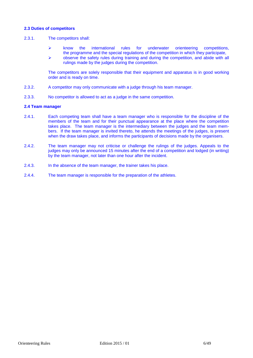#### **2.3 Duties of competitors**

#### 2.3.1. The competitors shall:

- $\triangleright$  know the international rules for underwater orienteering competitions, the programme and the special regulations of the competition in which they participate,
- $\triangleright$  observe the safety rules during training and during the competition, and abide with all rulings made by the judges during the competition.

The competitors are solely responsible that their equipment and apparatus is in good working order and is ready on time.

- 2.3.2. A competitor may only communicate with a judge through his team manager.
- 2.3.3. No competitor is allowed to act as a judge in the same competition.

#### **2.4 Team manager**

- 2.4.1. Each competing team shall have a team manager who is responsible for the discipline of the members of the team and for their punctual appearance at the place where the competition takes place. The team manager is the intermediary between the judges and the team members. If the team manager is invited thereto, he attends the meetings of the judges, is present when the draw takes place, and informs the participants of decisions made by the organisers.
- 2.4.2. The team manager may not criticise or challenge the rulings of the judges. Appeals to the judges may only be announced 15 minutes after the end of a competition and lodged (in writing) by the team manager, not later than one hour after the incident.
- 2.4.3. In the absence of the team manager, the trainer takes his place.
- 2.4.4. The team manager is responsible for the preparation of the athletes.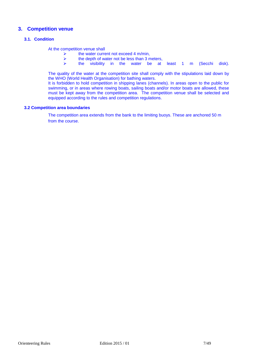## **3. Competition venue**

#### **3.1. Condition**

At the competition venue shall

- A the water current not exceed 4 m/min,<br>  $\uparrow$  the depth of water not be less than 3 m
- $\geq$  the depth of water not be less than 3 meters,<br>  $\geq$  the visibility in the water be at
- the visibility in the water be at least 1 m (Secchi disk).

The quality of the water at the competition site shall comply with the stipulations laid down by the WHO (World Health Organisation) for bathing waters.

It is forbidden to hold competition in shipping lanes (channels). In areas open to the public for swimming, or in areas where rowing boats, sailing boats and/or motor boats are allowed, these must be kept away from the competition area. The competition venue shall be selected and equipped according to the rules and competition regulations.

#### **3.2 Competition area boundaries**

The competition area extends from the bank to the limiting buoys. These are anchored 50 m from the course.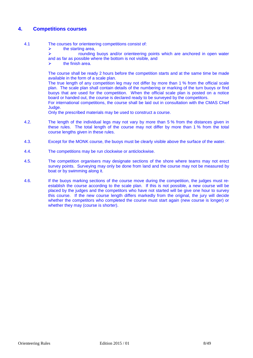## **4. Competitions courses**

- 4.1 The courses for orienteering competitions consist of:
	- $\triangleright$  the starting area,<br> $\triangleright$  rounding

 rounding buoys and/or orienteering points which are anchored in open water and as far as possible where the bottom is not visible, and

 $\triangleright$  the finish area.

The course shall be ready 2 hours before the competition starts and at the same time be made available in the form of a scale plan.

The true length of any competition leg may not differ by more than 1 % from the official scale plan. The scale plan shall contain details of the numbering or marking of the turn buoys or find buoys that are used for the competition. When the official scale plan is posted on a notice board or handed out, the course is declared ready to be surveyed by the competitors.

For international competitions, the course shall be laid out in consultation with the CMAS Chief Judge.

Only the prescribed materials may be used to construct a course.

- 4.2. The length of the individual legs may not vary by more than 5 % from the distances given in these rules. The total length of the course may not differ by more than 1 % from the total course lengths given in these rules.
- 4.3. Except for the MONK course, the buoys must be clearly visible above the surface of the water.
- 4.4. The competitions may be run clockwise or anticlockwise.
- 4.5. The competition organisers may designate sections of the shore where teams may not erect survey points. Surveying may only be done from land and the course may not be measured by boat or by swimming along it.
- 4.6. If the buoys marking sections of the course move during the competition, the judges must reestablish the course according to the scale plan. If this is not possible, a new course will be placed by the judges and the competitors who have not started will be give one hour to survey this course. If the new course length differs markedly from the original, the jury will decide whether the competitors who completed the course must start again (new course is longer) or whether they may (course is shorter).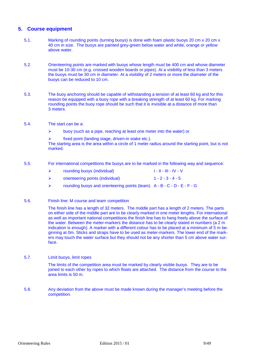## **5. Course equipment**

- 5.1. Marking of rounding points (turning buoys) is done with foam plastic buoys 20 cm x 20 cm x 40 cm in size. The buoys are painted grey-green below water and white, orange or yellow above water.
- 5.2. Orienteering points are marked with buoys whose length must be 400 cm and whose diameter must be 10-30 cm (e.g. crossed wooden boards or pipes). At a visibility of less than 3 meters the buoys must be 30 cm in diameter. At a visibility of 2 meters or more the diameter of the buoys can be reduced to 10 cm.
- 5.3. The buoy anchoring should be capable of withstanding a tension of at least 60 kg and for this reason be equipped with a buoy rope with a breaking strength of at least 60 kg. For marking rounding points the buoy rope should be such that it is invisible at a distance of more than 3 meters.
- 5.4. The start can be a:
	- $\triangleright$  buoy (such as a pipe, reaching at least one meter into the water) or
	- $\triangleright$  fixed point (landing stage, driven-in stake etc.).

The starting area is the area within a circle of 1 meter radius around the starting point, but is not marked.

- 5.5. For international competitions the buoys are to be marked in the following way and sequence:
	- ▶ rounding buoys (individual) I II III IV V
	- orienteering points (individual) 1 2 3 4 5
	- rounding buoys and orienteering points (team) A B C D E F G
- 5.6. Finish line: M course and team competition

The finish line has a length of 32 meters. The middle part has a length of 2 meters. The parts on either side of the middle part are to be clearly marked in one meter lengths. For international as well as important national competitions the finish line has to hang freely above the surface of the water. Between the meter-markers the distance has to be clearly stated in numbers (a 2 m indication is enough). A marker with a different colour has to be placed at a minimum of 5 m beginning at 0m. Sticks and straps have to be used as meter-markers. The lower end of the markers may touch the water surface but they should not be any shorter than 5 cm above water surface.

5.7. Limit buoys, limit ropes

The limits of the competition area must be marked by clearly visible buoys. They are to be joined to each other by ropes to which floats are attached. The distance from the course to the area limits is 50 m.

5.8. Any deviation from the above must be made known during the manager's meeting before the competition.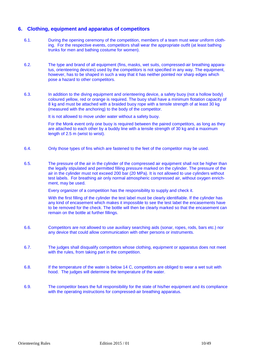## **6. Clothing, equipment and apparatus of competitors**

- 6.1. During the opening ceremony of the competition, members of a team must wear uniform clothing. For the respective events, competitors shall wear the appropriate outfit (at least bathing trunks for men and bathing costume for women).
- 6.2. The type and brand of all equipment (fins, masks, wet suits, compressed-air breathing apparatus, orienteering devices) used by the competitors is not specified in any way. The equipment, however, has to be shaped in such a way that it has neither pointed nor sharp edges which pose a hazard to other competitors.
- 6.3. In addition to the diving equipment and orienteering device, a safety buoy (not a hollow body) coloured yellow, red or orange is required. The buoy shall have a minimum flotation capacity of 8 kg and must be attached with a braided buoy rope with a tensile strength of at least 30 kg (measured with the anchoring) to the body of the competitor.

It is not allowed to move under water without a safety buoy.

For the Monk event only one buoy is required between the paired competitors, as long as they are attached to each other by a buddy line with a tensile strength of 30 kg and a maximum length of 2.5 m (wrist to wrist).

- 6.4. Only those types of fins which are fastened to the feet of the competitor may be used.
- 6.5. The pressure of the air in the cylinder of the compressed air equipment shall not be higher than the legally stipulated and permitted filling pressure marked on the cylinder. The pressure of the air in the cylinder must not exceed 200 bar (20 MPa). It is not allowed to use cylinders without test labels. For breathing air only normal atmospheric compressed air, without oxygen enrichment, may be used.

Every organizer of a competition has the responsibility to supply and check it.

With the first filling of the cylinder the test label must be clearly identifiable. If the cylinder has any kind of encasement which makes it impossible to see the test label the encasements have to be removed for the check. The bottle will then be clearly marked so that the encasement can remain on the bottle at further fillings.

- 6.6. Competitors are not allowed to use auxiliary searching aids (sonar, ropes, rods, bars etc.) nor any device that could allow communication with other persons or instruments.
- 6.7. The judges shall disqualify competitors whose clothing, equipment or apparatus does not meet with the rules, from taking part in the competition.
- 6.8. If the temperature of the water is below 14 C, competitors are obliged to wear a wet suit with hood. The judges will determine the temperature of the water.
- 6.9. The competitor bears the full responsibility for the state of his/her equipment and its compliance with the operating instructions for compressed-air breathing apparatus.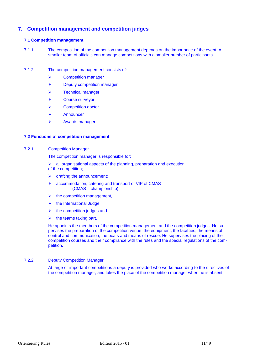## **7. Competition management and competition judges**

#### **7.1 Competition management**

- 7.1.1. The composition of the competition management depends on the importance of the event. A smaller team of officials can manage competitions with a smaller number of participants.
- 7.1.2. The competition management consists of:
	- Competition manager
	- $\triangleright$  Deputy competition manager
	- > Technical manager
	- Course surveyor
	- Competition doctor
	- **EXANDRED** Announcer
	- Awards manager

#### **7.2 Functions of competition management**

#### 7.2.1. Competition Manager

The competition manager is responsible for:

 $\triangleright$  all organisational aspects of the planning, preparation and execution of the competition;

- $\triangleright$  drafting the announcement;
- accommodation, catering and transport of VIP of CMAS (CMAS – championship)
- $\triangleright$  the competition management,
- $\triangleright$  the International Judge
- $\triangleright$  the competition judges and
- $\triangleright$  the teams taking part.

He appoints the members of the competition management and the competition judges. He supervises the preparation of the competition venue, the equipment, the facilities, the means of control and communication, the boats and means of rescue. He supervises the placing of the competition courses and their compliance with the rules and the special regulations of the competition.

#### 7.2.2. Deputy Competition Manager

At large or important competitions a deputy is provided who works according to the directives of the competition manager, and takes the place of the competition manager when he is absent.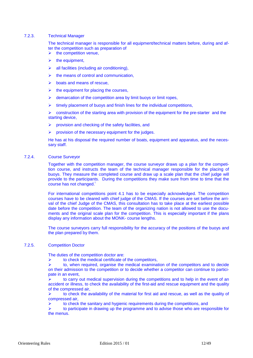#### 7.2.3. Technical Manager

The technical manager is responsible for all equipment/technical matters before, during and after the competition such as preparation of

- $\triangleright$  the competition venue,
- $\triangleright$  the equipment,
- all facilities (including air conditioning),
- $\triangleright$  the means of control and communication.
- $\triangleright$  boats and means of rescue,
- the equipment for placing the courses,
- $\triangleright$  demarcation of the competition area by limit buoys or limit ropes,
- $\triangleright$  timely placement of buoys and finish lines for the individual competitions,

 $\triangleright$  construction of the starting area with provision of the equipment for the pre-starter and the starting device,

- $\triangleright$  provision and checking of the safety facilities, and
- $\triangleright$  provision of the necessary equipment for the judges.

He has at his disposal the required number of boats, equipment and apparatus, and the necessary staff.

#### 7.2.4. Course Surveyor

Together with the competition manager, the course surveyor draws up a plan for the competition course, and instructs the team of the technical manager responsible for the placing of buoys. They measure the completed course and draw up a scale plan that the chief judge will provide to the participants. During the competitions they make sure from time to time that the course has not changed.<sup>1</sup>

For international competitions point 4.1 has to be especially acknowledged. The competition courses have to be cleared with chief judge of the CMAS. If the courses are set before the arrival of the chief Judge of the CMAS, this consultation has to take place at the earliest possible date before the competition. The team of the organizing nation is not allowed to use the documents and the original scale plan for the competition. This is especially important if the plans display any information about the MONK- course lengths.

The course surveyors carry full responsibility for the accuracy of the positions of the buoys and the plan prepared by them.

#### 7.2.5. Competition Doctor

The duties of the competition doctor are:

 $\triangleright$  to check the medical certificate of the competitors,

 to, when required, organise the medical examination of the competitors and to decide on their admission to the competition or to decide whether a competitor can continue to participate in an event.

 $\triangleright$  to carry out medical supervision during the competitions and to help in the event of an accident or illness, to check the availability of the first-aid and rescue equipment and the quality of the compressed air,

 $\triangleright$  to check the availability of the material for first aid and rescue, as well as the quality of compressed air,

 $\triangleright$  to check the sanitary and hygienic requirements during the competitions, and

 $\triangleright$  to participate in drawing up the programme and to advise those who are responsible for the menus.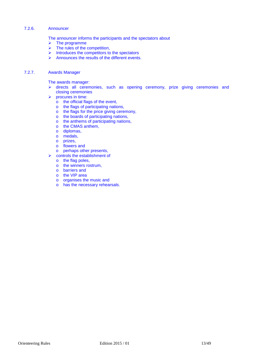#### 7.2.6. Announcer

The announcer informs the participants and the spectators about

- $\triangleright$  The programme
- $\triangleright$  The rules of the competition,
- $\triangleright$  Introduces the competitors to the spectators
- $\triangleright$  Announces the results of the different events.

### 7.2.7. Awards Manager

The awards manager:

- $\triangleright$  directs all ceremonies, such as opening ceremony, prize giving ceremonies and closing ceremonies
- $\triangleright$  procures in time:
	- o the official flags of the event,
	- o the flags of participating nations,
	- o the flags for the price giving ceremony,
	- o the boards of participating nations,
	- o the anthems of participating nations,
	- o the CMAS anthem,
	- o diplomas,
	- o medals,
	- o prizes,
	- o flowers and
	- o perhaps other presents,
	- controls the establishment of
	- o the flag poles,
	- o the winners rostrum,
	- o barriers and
	- o the VIP area
	- o organises the music and
	- o has the necessary rehearsals.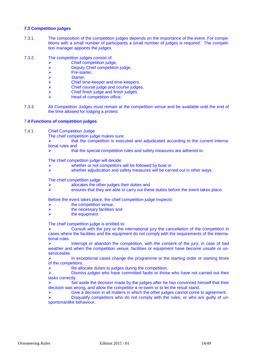#### **7.3 Competition judges**

- 7.3.1. The composition of the competition judges depends on the importance of the event. For competitions with a small number of participants a small number of judges is required. The competition manager appoints the judges.
- 7.3.2. The competition judges consist of:
	- Chief competition judge,
	- > Deputy Chief competition judge,<br>> Pre-starter,
	- $\triangleright$  Pre-starter,<br> $\triangleright$  Starter.
	- Starter,
	- Chief time-keeper and time-keepers,
	- Chief course judge and course judges,
	- Chief finish judge and finish judges,
	- Head of competition office.
- 7.3.3. All Competition Judges must remain at the competition venue and be available until the end of the time allowed for lodging a protest.

#### 7.**4 Functions of competition judges**

7.4.1. Chief Competition Judge

The chief competition judge makes sure:

 $\triangleright$  that the competition is executed and adjudicated according to the current international rules and

 $\triangleright$  that the special competition rules and safety measures are adhered to.

The chief competition judge will decide:

- whether or not competitors will be followed by boat or
- $\triangleright$  whether adjudication and safety measures will be carried out in other ways.

The chief competition judge:

- allocates the other judges their duties and
- ensures that they are able to carry out these duties before the event takes place.

Before the event takes place, the chief competition judge inspects:

- the competition venue,
- $\triangleright$  the necessary facilities and<br> $\triangleright$  the equipment
- the equipment

The chief competition judge is entitled to:

 Consult with the jury or the international jury the cancellation of the competition in cases where the facilities and the equipment do not comply with the requirements of the international rules.

Interrupt or abandon the competition, with the consent of the jury, in case of bad weather and when the competition venue, facilities or equipment have become unsafe or unserviceable.

 $\triangleright$  In exceptional cases change the programme or the starting order or starting times of the competitors.

 $\triangleright$  Re-allocate duties to judges during the competition.

 $\triangleright$  Dismiss judges who have committed faults or those who have not carried out their tasks correctly.

 $\triangleright$  Set aside the decision made by the judges after he has convinced himself that their decision was wrong, and allow the competitor a re-swim or to let the result stand.

 $\triangleright$  Give a decision in all matters in which the other judges cannot come to agreement.

 $\triangleright$  Disqualify competitors who do not comply with the rules, or who are quilty of unsportsmanlike behaviour.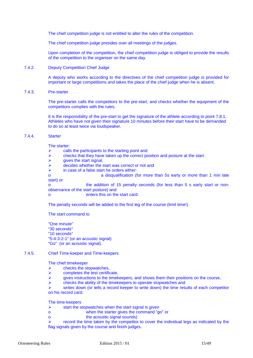The chief competition judge is not entitled to alter the rules of the competition.

The chief competition judge presides over all meetings of the judges.

Upon completion of the competition, the chief competition judge is obliged to provide the results of the competition to the organiser on the same day.

#### 7.4.2. Deputy Competition Chief Judge

A deputy who works according to the directives of the chief competition judge is provided for important or large competitions and takes the place of the chief judge when he is absent.

#### 7.4.3. Pre-starter

The pre-starter calls the competitors to the pre-start, and checks whether the equipment of the competitors complies with the rules.

It is the responsibility of the pre-start to get the signature of the athlete according to point 7.8.1. Athletes who have not given their signature 10 minutes before their start have to be demanded to do so at least twice via loudspeaker.

#### 7.4.4. Starter

The starter:

- $\triangleright$  calls the participants to the starting point and
- $\triangleright$  checks that they have taken up the correct position and posture at the start.<br> $\triangleright$  dives the start signal
- gives the start signal,
- **EXECUTE:**  $\triangleright$  decides whether the start was correct or not and
- $\triangleright$  in case of a false start he orders either:
- o a disqualification (for more than 5s early or more than 1 min late start) or

o the addition of 15 penalty seconds (for less than 5 s early start or nonobservance of the start posture) and

enters this on the start card.

The penalty seconds will be added to the first leg of the course (limit time!).

The start command is:

"One minute" "30 seconds" "10 seconds" "5-4-3-2-1" (or an acoustic signal) "Go" (or an acoustic signal).

#### 7.4.5. Chief Time-keeper and Time-keepers

The chief timekeeper

- $\triangleright$  checks the stopwatches.
- $\triangleright$  completes the test certificate.
- $\triangleright$  gives instructions to the timekeepers, and shows them their positions on the course,
- $\triangleright$  checks the ability of the time keepers to operate stopwatches and

 writes down (or tells a record keeper to write down) the time results of each competitor on his record card.

The time-keepers

- $\triangleright$  start the stopwatches when the start signal is given
- o when the starter gives the command "go" or
- o the acoustic signal sounds)

 $\triangleright$  record the time taken by the competitor to cover the individual legs as indicated by the flag signals given by the course and finish judges.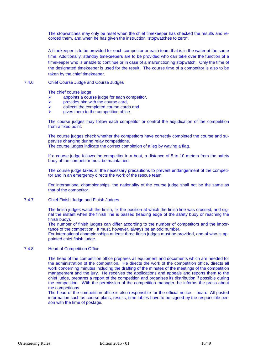The stopwatches may only be reset when the chief timekeeper has checked the results and recorded them, and when he has given the instruction "stopwatches to zero".

A timekeeper is to be provided for each competitor or each team that is in the water at the same time. Additionally, standby timekeepers are to be provided who can take over the function of a timekeeper who is unable to continue or in case of a malfunctioning stopwatch. Only the time of the designated timekeeper is used for the result. The course time of a competitor is also to be taken by the chief timekeeper.

#### 7.4.6. Chief Course Judge and Course Judges

The chief course judge

- $\triangleright$  appoints a course judge for each competitor,
- $\triangleright$  provides him with the course card,
- $\triangleright$  collects the completed course cards and
- gives them to the competition office.

The course judges may follow each competitor or control the adjudication of the competition from a fixed point.

The course judges check whether the competitors have correctly completed the course and supervise changing during relay competitions.

The course judges indicate the correct completion of a leg by waving a flag.

If a course judge follows the competitor in a boat, a distance of 5 to 10 meters from the safety buoy of the competitor must be maintained.

The course judge takes all the necessary precautions to prevent endangerment of the competitor and in an emergency directs the work of the rescue team.

For international championships, the nationality of the course judge shall not be the same as that of the competitor.

#### 7.4.7. Chief Finish Judge and Finish Judges

The finish judges watch the finish, fix the position at which the finish line was crossed, and signal the instant when the finish line is passed (leading edge of the safety buoy or reaching the finish buoy).

The number of finish judges can differ according to the number of competitors and the importance of the competition. It must, however, always be an odd number.

For international championships at least three finish judges must be provided, one of who is appointed chief finish judge.

#### 7.4.8. Head of Competition Office

The head of the competition office prepares all equipment and documents which are needed for the administration of the competition. He directs the work of the competition office, directs all work concerning minutes including the drafting of the minutes of the meetings of the competition management and the jury. He receives the applications and appeals and reports them to the chief judge, prepares a report of the competition and organises its distribution if possible during the competition. With the permission of the competition manager, he informs the press about the competitions.

The head of the competition office is also responsible for the official notice – board. All posted information such as course plans, results, time tables have to be signed by the responsible person with the time of postage.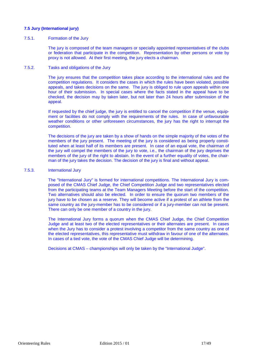#### **7.5 Jury (International jury)**

#### 7.5.1. Formation of the Jury

The jury is composed of the team managers or specially appointed representatives of the clubs or federation that participate in the competition. Representation by other persons or vote by proxy is not allowed. At their first meeting, the jury elects a chairman.

#### 7.5.2. Tasks and obligations of the Jury

The jury ensures that the competition takes place according to the international rules and the competition regulations. It considers the cases in which the rules have been violated, possible appeals, and takes decisions on the same. The jury is obliged to rule upon appeals within one hour of their submission. In special cases where the facts stated in the appeal have to be checked, the decision may by taken later, but not later than 24 hours after submission of the appeal.

If requested by the chief judge, the jury is entitled to cancel the competition if the venue, equipment or facilities do not comply with the requirements of the rules. In case of unfavourable weather conditions or other unforeseen circumstances, the jury has the right to interrupt the competition.

The decisions of the jury are taken by a show of hands on the simple majority of the votes of the members of the jury present. The meeting of the jury is considered as being properly constituted when at least half of its members are present. In case of an equal vote, the chairman of the jury will compel the members of the jury to vote, i.e., the chairman of the jury deprives the members of the jury of the right to abstain. In the event of a further equality of votes, the chairman of the jury takes the decision. The decision of the jury is final and without appeal.

#### 7.5.3. International Jury

The "International Jury" is formed for international competitions. The International Jury is composed of the CMAS Chief Judge, the Chief Competition Judge and two representatives elected from the participating teams at the Team Managers Meeting before the start of the competition. Two alternatives should also be elected. In order to ensure the quorum two members of the jury have to be chosen as a reserve. They will become active if a protest of an athlete from the same country as the jury-member has to be considered or if a jury-member can not be present. There can only be one member of a country in the jury.

The International Jury forms a quorum when the CMAS Chief Judge, the Chief Competition Judge and at least two of the elected representatives or their alternates are present. In cases when the Jury has to consider a protest involving a competitor from the same country as one of the elected representatives, this representative must withdraw in favour of one of the alternates. In cases of a tied vote, the vote of the CMAS Chief Judge will be determining.

Decisions at CMAS – championships will only be taken by the "International Judge".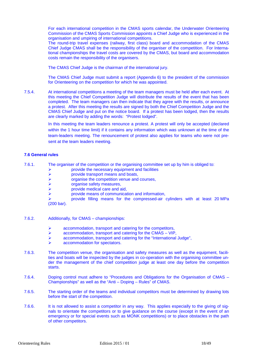For each international competition in the CMAS sports calendar, the Underwater Orienteering Commission of the CMAS Sports Commission appoints a Chief Judge who is experienced in the organisation and umpiring of international competitions.

The round-trip travel expenses (railway, first class) board and accommodation of the CMAS Chief Judge CMAS shall be the responsibility of the organiser of the competition. For International championships the travel costs are covered by the CMAS, but board and accommodation costs remain the responsibility of the organisers.

The CMAS Chief Judge is the chairman of the international jury.

The CMAS Chief Judge must submit a report (Appendix 6) to the president of the commission for Orienteering on the competition for which he was appointed.

7.5.4. At international competitions a meeting of the team managers must be held after each event. At this meeting the Chief Competition Judge will distribute the results of the event that has been completed. The team managers can then indicate that they agree with the results, or announce a protest. After this meeting the results are signed by both the Chief Competition Judge and the CMAS Chief Judge and put on the notice board. If a protest has been lodged, then the results are clearly marked by adding the words: "Protest lodged".

> In this meeting the team leaders renounce a protest. A protest will only be accepted (declared within the 1 hour time limit) if it contains any information which was unknown at the time of the team-leaders meeting. The renouncement of protest also applies for teams who were not present at the team leaders meeting.

#### **7.6 General rules**

- 7.6.1. The organiser of the competition or the organising committee set up by him is obliged to:
	- provide the necessary equipment and facilities
	-
	- > provide transport means and boats,<br>  $\triangleright$  organise the competition venue and<br>
	organise safety measures,<br>  $\triangleright$  provide medical care and aid. organise the competition venue and courses,
	- organise safety measures,
	- provide medical care and aid,
	- provide means of communication and information,

 provide filling means for the compressed-air cylinders with at least 20 MPa (200 bar).

#### 7.6.2. Additionally, for CMAS – championships:

- $\triangleright$  accommodation, transport and catering for the competitors,
- $\triangleright$  accommodation, transport and catering for the CMAS VIP,
- accommodation, transport and catering for the "International Judge",
- accommodation for spectators.
- 7.6.3. The competition venue, the organisation and safety measures as well as the equipment, facilities and boats will be inspected by the judges in co-operation with the organising committee under the management of the chief competition judge at least one day before the competition starts.
- 7.6.4. Doping control must adhere to "Procedures and Obligations for the Organisation of CMAS Championships" as well as the "Anti – Doping – Rules" of CMAS.
- 7.6.5. The starting order of the teams and individual competitors must be determined by drawing lots before the start of the competition.
- 7.6.6. It is not allowed to assist a competitor in any way. This applies especially to the giving of signals to orientate the competitors or to give guidance on the course (except in the event of an emergency or for special events such as MONK competitions) or to place obstacles in the path of other competitors.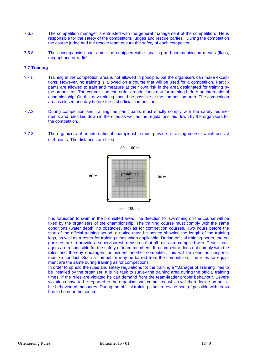- 7.6.7. The competition manager is entrusted with the general management of the competition. He is responsible for the safety of the competitors, judges and rescue parties. During the competition the course judge and the rescue team ensure the safety of each competitor.
- 7.6.8. The accompanying boats must be equipped with signalling and communication means (flags, megaphone or radio).

#### **7.7 Training**

- 7.7.1. Training in the competition area is not allowed in principle, but the organisers can make exceptions. However, no training is allowed on a course that will be used for a competition. Participants are allowed to train and measure at their own risk in the area designated for training by the organisers. The commission can order an additional day for training before an international championship. On this day training should be possible at the competition area. The competition area is closed one day before the first official competition.
- 7.7.2. During competition and training the participants must strictly comply with the safety requirements and rules laid down in the rules as well as the regulations laid down by the organisers for the competition.
- 7.7.3. The organizers of an international championship must provide a training course, which consist of 4 points. The distances are fixed.



It is forbidden to swim in the prohibited area. The direction for swimming on the course will be fixed by the organisers of the championship. The training course must comply with the same conditions (water depth, no obstacles, etc) as for competition courses. Two hours before the start of the official training period, a notice must be posted showing the length of the training legs, as well as a roster for training times when applicable. During official training hours, the organisers are to provide a supervisor who ensures that all rules are complied with. Team managers are responsible for the safety of team members. If a competitor does not comply with the rules and thereby endangers or hinders another competitor, this will be seen as unsportsmanlike conduct. Such a competitor may be barred from the competition. The rules for equipment are the same during training as for competitions.

In order to uphold the rules and safety regulations for the training a "Manager of Training" has to be installed by the organiser. It is his task to survey the training area during the official training times. If the rules are violated he can demand from the team-leader proper behaviour. Severe violations have to be reported to the organisational committee which will then decide on possible behavioural measures. During the official training times a rescue boat (if possible with crew) has to be near the course.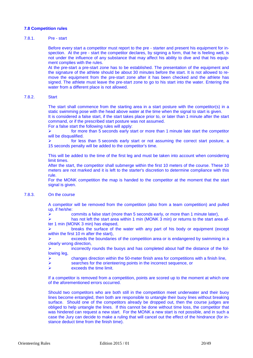#### **7.8 Competition rules**

#### 7.8.1. Pre - start

Before every start a competitor must report to the pre - starter and present his equipment for inspection. At the pre - start the competitor declares, by signing a form, that he is feeling well, is not under the influence of any substance that may affect his ability to dive and that his equipment complies with the rules.

At the pre-start a pre-start zone has to be established. The presentation of the equipment and the signature of the athlete should be about 30 minutes before the start. It is not allowed to remove the equipment from the pre-start zone after it has been checked and the athlete has signed. The athlete must leave the pre-start zone to go to his start into the water. Entering the water from a different place is not allowed.

#### 7.8.2. Start

The start shall commence from the starting area in a start posture with the competitor(s) in a static swimming pose with the head above water at the time when the signal to start is given. It is considered a false start, if the start takes place prior to, or later than 1 minute after the start

command, or if the prescribed start posture was not assumed.

For a false start the following rules will apply:

 for more than 5 seconds early start or more than 1 minute late start the competitor will be disqualified.

 for less than 5 seconds early start or not assuming the correct start posture, a 15 seconds penalty will be added to the competitor's time.

This will be added to the time of the first leg and must be taken into account when considering limit times.

After the start, the competitor shall submerge within the first 10 meters of the course. These 10 meters are not marked and it is left to the starter's discretion to determine compliance with this rule.

For the MONK competition the map is handed to the competitor at the moment that the start signal is given.

#### 7.8.3. On the course

A competitor will be removed from the competition (also from a team competition) and pulled up, if he/she:

 $\triangleright$  commits a false start (more than 5 seconds early, or more than 1 minute later),

has not left the start area within 1 min (MONK 3 min) or returns to the start area after 1 min (MONK 3 min) has elapsed,

 breaks the surface of the water with any part of his body or equipment (except within the first 10 m after the start),

 exceeds the boundaries of the competition area or is endangered by swimming in a clearly wrong direction,

 incorrectly rounds the buoys and has completed about half the distance of the following leg,

- $\triangleright$  changes direction within the 50-meter finish area for competitions with a finish line,
- $\triangleright$  searches for the orienteering points in the incorrect sequence, or  $\triangleright$  exceeds the time limit
- exceeds the time limit.

If a competitor is removed from a competition, points are scored up to the moment at which one of the aforementioned errors occurred.

Should two competitors who are both still in the competition meet underwater and their buoy lines become entangled, then both are responsible to untangle their buoy lines without breaking surface. Should one of the competitors already be dropped out, then the course judges are obliged to help untangle the lines. If this cannot be done without time loss, the competitor that was hindered can request a new start. For the MONK a new start is not possible, and in such a case the Jury can decide to make a ruling that will cancel out the effect of the hindrance (for instance deduct time from the finish time).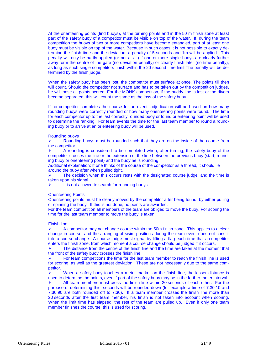At the orienteering points (find buoys), at the turning points and in the 50 m finish zone at least part of the safety buoy of a competitor must be visible on top of the water. If, during the team competition the buoys of two or more competitors have become entangled, part of at least one buoy must be visible on top of the water. Because in such cases it is not possible to exactly determine the finish time and the deviation, a penalty of 5 seconds and 1m will be applied. This penalty will only be partly applied (or not at all) if one or more single buoys are clearly further away form the centre of the gate (no deviation penalty) or clearly finish later (no time penalty), as long as such single competitors finish within the 20 second time limit The penalty will be determined by the finish judge.

When the safety buoy has been lost, the competitor must surface at once. The points till then will count. Should the competitor not surface and has to be taken out by the competition judges, he will loose all points scored. For the MONK competition, if the buddy line is lost or the divers become separated, this will count the same as the loss of the safety buoy.

If no competitor completes the course for an event, adjudication will be based on how many rounding buoys were correctly rounded or how many orienteering points were found. The time for each competitor up to the last correctly rounded buoy or found orienteering point will be used to determine the ranking. For team events the time for the last team member to round a rounding buoy or to arrive at an orienteering buoy will be used.

#### Rounding buoys

 $\triangleright$  Rounding buoys must be rounded such that they are on the inside of the course from the competitor.

 $\triangleright$  A rounding is considered to be completed when, after turning, the safety buoy of the competitor crosses the line or the extension of the line between the previous buoy (start, rounding buoy or orienteering point) and the buoy he is rounding.

Additional explanation: If one thinks of the course of the competitor as a thread, it should lie around the buoy after when pulled tight.

 $\triangleright$  The decision when this occurs rests with the designated course judge, and the time is taken upon his signal.

It is not allowed to search for rounding buoys.

#### Orienteering Points

Orienteering points must be clearly moved by the competitor after being found, by either pulling or spinning the buoy. If this is not done, no points are awarded.

For the team competition all members of the team are obliged to move the buoy. For scoring the time for the last team member to move the buoy is taken.

#### Finish line

 A competitor may not change course within the 50m finish zone. This applies to a clear change in course, and the arranging of swim positions during the team event does not constitute a course change. A course judge must signal by lifting a flag each time that a competitor enters the finish zone, from which moment a course change should be judged if it occurs.

 The distance from the centre of the finish line and the time are taken at the moment that the front of the safety buoy crosses the finish line.

 For team competitions the time for the last team member to reach the finish line is used for scoring, as well as the greatest deviation. These are not necessarily due to the same competitor.

 $\triangleright$  When a safety buoy touches a meter marker on the finish line, the lesser distance is used to determine the points, even if part of the safety buoy may be in the farther meter interval.

 All team members must cross the finish line within 20 seconds of each other. For the purpose of determining this, seconds will be rounded down (for example a time of 7:30,10 and 7:30,90 are both rounded off to 7:30). If a team member crosses the finish line more than 20 seconds after the first team member, his finish is not taken into account when scoring. When the limit time has elapsed, the rest of the team are pulled up. Even if only one team member finishes the course, this is used for scoring.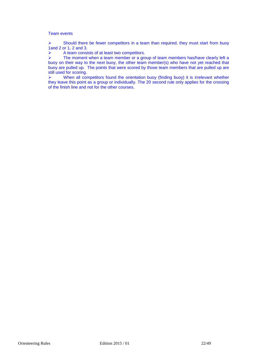#### Team events

 $\triangleright$  Should there be fewer competitors in a team than required, they must start from buoy 1and 2 or 1, 2 and 3.

 $\triangleright$  A team consists of at least two competitors.

 $\triangleright$  The moment when a team member or a group of team members has/have clearly left a buoy on their way to the next buoy, the other team member(s) who have not yet reached that buoy are pulled up. The points that were scored by those team members that are pulled up are still used for scoring.

 $\triangleright$  When all competitors found the orientation buoy (finding buoy) it is irrelevant whether they leave this point as a group or individually. The 20 second rule only applies for the crossing of the finish line and not for the other courses.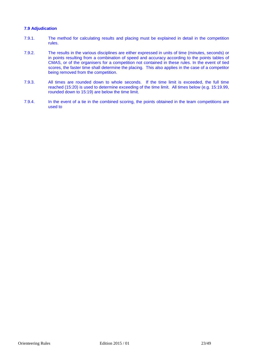#### **7.9 Adjudication**

- 7.9.1. The method for calculating results and placing must be explained in detail in the competition rules.
- 7.9.2. The results in the various disciplines are either expressed in units of time (minutes, seconds) or in points resulting from a combination of speed and accuracy according to the points tables of CMAS, or of the organisers for a competition not contained in these rules. In the event of tied scores, the faster time shall determine the placing. This also applies in the case of a competitor being removed from the competition.
- 7.9.3. All times are rounded down to whole seconds. If the time limit is exceeded, the full time reached (15:20) is used to determine exceeding of the time limit. All times below (e.g. 15:19.99, rounded down to 15:19) are below the time limit.
- 7.9.4. In the event of a tie in the combined scoring, the points obtained in the team competitions are used to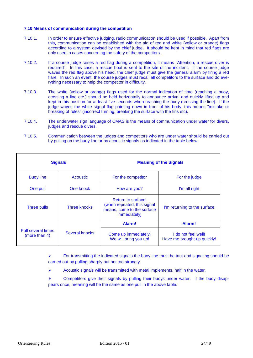#### **7.10 Means of communication during the competition**

- 7.10.1. In order to ensure effective judging, radio communication should be used if possible. Apart from this, communication can be established with the aid of red and white (yellow or orange) flags according to a system devised by the chief judge. It should be kept in mind that red flags are only used in cases concerning the safety of the competitors.
- 7.10.2. If a course judge raises a red flag during a competition, it means "Attention, a rescue diver is required". In this case, a rescue boat is sent to the site of the incident. If the course judge waves the red flag above his head, the chief judge must give the general alarm by firing a red flare. In such an event, the course judges must recall all competitors to the surface and do everything necessary to help the competitor in difficulty.
- 7.10.3. The white (yellow or orange) flags used for the normal indication of time (reaching a buoy, crossing a line etc.) should be held horizontally to announce arrival and quickly lifted up and kept in this position for at least five seconds when reaching the buoy (crossing the line). If the judge waves the white signal flag pointing down in front of his body, this means "mistake or breaking of rules" (incorrect turning, breaking the surface with the fins etc).
- 7.10.4. The underwater sign language of CMAS is the means of communication under water for divers, judges and rescue divers.
- 7.10.5. Communication between the judges and competitors who are under water should be carried out by pulling on the buoy line or by acoustic signals as indicated in the table below:

| <b>Signals</b>                      |                     | <b>Meaning of the Signals</b>                                                                          |                                                    |
|-------------------------------------|---------------------|--------------------------------------------------------------------------------------------------------|----------------------------------------------------|
| <b>Buoy line</b>                    | <b>Acoustic</b>     | For the competitor                                                                                     | For the judge                                      |
| One pull                            | One knock           | How are you?                                                                                           | I'm all right                                      |
| <b>Three pulls</b>                  | <b>Three knocks</b> | Return to surface!<br>(when repeated, this signal<br>means, come to the surface<br><i>immediately)</i> | I'm returning to the surface                       |
|                                     |                     | Alarm!                                                                                                 | Alarm!                                             |
| Pull several times<br>(more than 4) | Several knocks      | Come up immediately!<br>We will bring you up!                                                          | I do not feel well!<br>Have me brought up quickly! |

 $\triangleright$  For transmitting the indicated signals the buoy line must be taut and signaling should be carried out by pulling sharply but not too strongly.

- $\triangleright$  Acoustic signals will be transmitted with metal implements, half in the water.
- $\triangleright$  Competitors give their signals by pulling their buoys under water. If the buoy disappears once, meaning will be the same as one pull in the above table.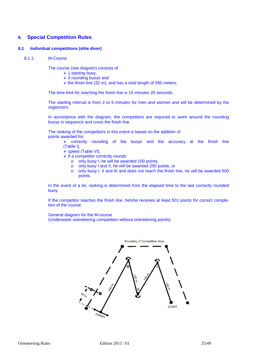## **8. Special Competition Rules**

#### **8.1 Individual competitions (elite diver)**

8.1.1. M-Course

The course (see diagram) consists of

- $\geq 1$  starting buoy,
- $\geq 3$  rounding buoys and
- $\triangleright$  the finish line (32 m), and has a total length of 590 meters.

The time limit for reaching the finish line is 15 minutes 20 seconds.

The starting interval is from 2 to 5 minutes for men and women and will be determined by the organizers.

In accordance with the diagram, the competitors are required to swim around the rounding buoys in sequence and cross the finish line.

The ranking of the competitors in this event is based on the addition of points awarded for:

> $\triangleright$  correctly rounding of the buoys and the accuracy at the finish line (Table I),

 $\triangleright$  speed (Table VI).

 $\triangleright$  If a competitor correctly rounds:

- o only buoy I, he will be awarded 100 points,
- o only buoy I and II, he will be awarded 250 points, or
- $\circ$  only buoy I, II and III and does not reach the finish line, he will be awarded 500 points.

In the event of a tie, ranking is determined from the elapsed time to the last correctly rounded buoy.

If the competitor reaches the finish line, he/she receives at least 501 points for correct completion of the course.

General diagram for the M-course

(Underwater orienteering competition without orienteering points).

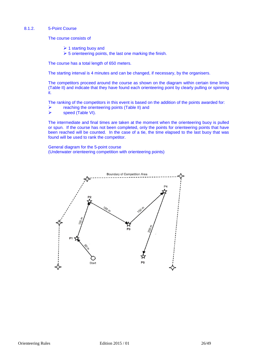#### 8.1.2. 5-Point Course

The course consists of

- $\triangleright$  1 starting buoy and
- $\geq 5$  orienteering points, the last one marking the finish.

The course has a total length of 650 meters.

The starting interval is 4 minutes and can be changed, if necessary, by the organisers.

The competitors proceed around the course as shown on the diagram within certain time limits (Table II) and indicate that they have found each orienteering point by clearly pulling or spinning it.

The ranking of the competitors in this event is based on the addition of the points awarded for:

reaching the orienteering points (Table II) and

speed (Table VI).

The intermediate and final times are taken at the moment when the orienteering buoy is pulled or spun. If the course has not been completed, only the points for orienteering points that have been reached will be counted. In the case of a tie, the time elapsed to the last buoy that was found will be used to rank the competitor.

General diagram for the 5-point course (Underwater orienteering competition with orienteering points)

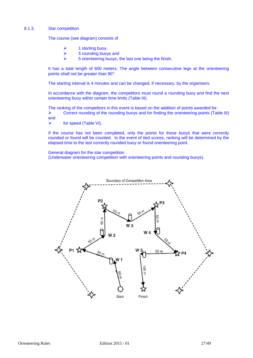#### 8.1.3. Star competition

The course (see diagram) consists of

- 1 starting buoy,
- $5$  rounding buoys and
- $5$  orienteering buoys, the last one being the finish.

It has a total length of 600 meters. The angle between consecutive legs at the orienteering points shall not be greater than 90°.

The starting interval is 4 minutes and can be changed, if necessary, by the organisers.

In accordance with the diagram, the competitors must round a rounding buoy and find the next orienteering buoy within certain time limits (Table III).

The ranking of the competitors in this event is based on the addition of points awarded for:

 $\triangleright$  Correct rounding of the rounding buoys and for finding the orienteering points (Table III) and

for speed (Table VI).

If the course has not been completed, only the points for those buoys that were correctly rounded or found will be counted. In the event of tied scores, ranking will be determined by the elapsed time to the last correctly rounded buoy or found orienteering point.

General diagram for the star competition

(Underwater orienteering competition with orienteering points and rounding buoys).

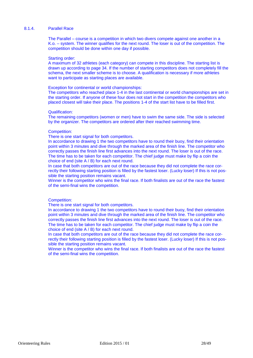#### 8.1.4. Parallel Race

The Parallel – course is a competition in which two divers compete against one another in a K.o. – system. The winner qualifies for the next round. The loser is out of the competition. The competition should be done within one day if possible.

#### Starting order:

A maximum of 32 athletes (each category) can compete in this discipline. The starting list is drawn up according to page 34. If the number of starting competitors does not completely fill the schema, the next smaller scheme is to choose. A qualification is necessary if more athletes want to participate as starting places are available.

#### Exception for continental or world championships:

The competitors who reached place 1-4 in the last continental or world championships are set in the starting order. If anyone of these four does not start in the competition the competitors who placed closest will take their place. The positions 1-4 of the start list have to be filled first.

#### Qualification:

The remaining competitors (women or men) have to swim the same side. The side is selected by the organizer. The competitors are ordered after their reached swimming time.

#### Competition:

There is one start signal for both competitors.

In accordance to drawing 1 the two competitors have to round their buoy, find their orientation point within 3 minutes and dive through the marked area of the finish line. The competitor who correctly passes the finish line first advances into the next round. The loser is out of the race. The time has to be taken for each competitor. The chief judge must make by flip a coin the choice of end (site A / B) for each next round.

In case that both competitors are out of the race because they did not complete the race correctly their following starting position is filled by the fastest loser. (Lucky loser) If this is not possible the starting position remains vacant.

Winner is the competitor who wins the final race. If both finalists are out of the race the fastest of the semi-final wins the competition.

#### Competition:

There is one start signal for both competitors.

In accordance to drawing 1 the two competitors have to round their buoy, find their orientation point within 3 minutes and dive through the marked area of the finish line. The competitor who correctly passes the finish line first advances into the next round. The loser is out of the race. The time has to be taken for each competitor. The chief judge must make by flip a coin the choice of end (site A / B) for each next round.

In case that both competitors are out of the race because they did not complete the race correctly their following starting position is filled by the fastest loser. (Lucky loser) If this is not possible the starting position remains vacant.

Winner is the competitor who wins the final race. If both finalists are out of the race the fastest of the semi-final wins the competition.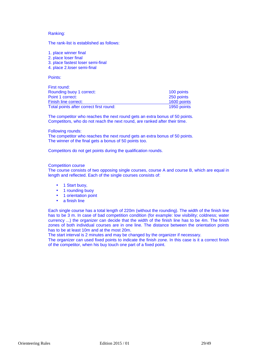#### Ranking:

The rank-list is established as follows:

- 1. place winner final
- 2. place loser final
- 3. place fastest loser semi-final
- 4. place 2.loser semi-final

Points:

| First round:                            |             |
|-----------------------------------------|-------------|
| Rounding buoy 1 correct:                | 100 points  |
| Point 1 correct:                        | 250 points  |
| Finish line correct:                    | 1600 points |
| Total points after correct first round: | 1950 points |

The competitor who reaches the next round gets an extra bonus of 50 points. Competitors, who do not reach the next round, are ranked after their time.

#### Following rounds:

The competitor who reaches the next round gets an extra bonus of 50 points. The winner of the final gets a bonus of 50 points too.

Competitors do not get points during the qualification rounds.

#### Competition course

The course consists of two opposing single courses, course A and course B, which are equal in length and reflected. Each of the single courses consists of:

- 1 Start buoy,
- 1 rounding buoy
- 1 orientation point
- a finish line

Each single course has a total length of 220m (without the rounding). The width of the finish line has to be 3 m. In case of bad competition condition (for example: low visibility; coldness; water currency ...) the organizer can decide that the width of the finish line has to be 4m. The finish zones of both individual courses are in one line. The distance between the orientation points has to be at least 10m and at the most 20m.

The start interval is 2 minutes and may be changed by the organizer if necessary.

The organizer can used fixed points to indicate the finish zone. In this case is it a correct finish of the competitor, when his buy touch one part of a fixed point.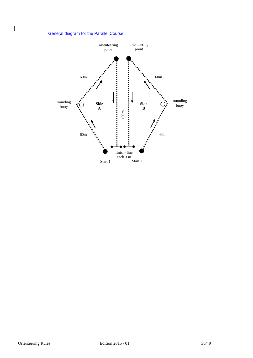## General diagram for the Parallel Course

 $\begin{array}{c} \rule{0pt}{2ex} \rule{0pt}{2ex} \rule{0pt}{2ex} \rule{0pt}{2ex} \rule{0pt}{2ex} \rule{0pt}{2ex} \rule{0pt}{2ex} \rule{0pt}{2ex} \rule{0pt}{2ex} \rule{0pt}{2ex} \rule{0pt}{2ex} \rule{0pt}{2ex} \rule{0pt}{2ex} \rule{0pt}{2ex} \rule{0pt}{2ex} \rule{0pt}{2ex} \rule{0pt}{2ex} \rule{0pt}{2ex} \rule{0pt}{2ex} \rule{0pt}{2ex} \rule{0pt}{2ex} \rule{0pt}{2ex} \rule{0pt}{2ex} \rule{0pt}{$ 

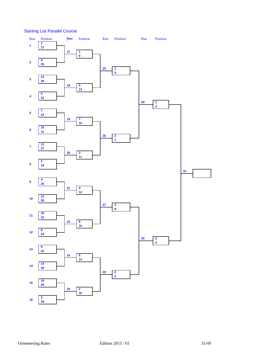Starting List Parallel Course

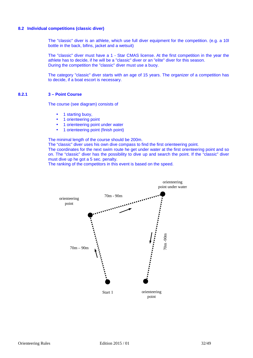#### **8.2 Individual competitions (classic diver)**

The "classic" diver is an athlete, which use full diver equipment for the competition. (e.g. a 10l bottle in the back, bifins, jacket and a wetsuit)

The "classic" diver must have a 1 - Star CMAS license. At the first competition in the year the athlete has to decide, if he will be a "classic" diver or an "elite" diver for this season. During the competition the "classic" diver must use a buoy.

The category "classic" diver starts with an age of 15 years. The organizer of a competition has to decide, if a boat escort is necessary.

#### **8.2.1 3 – Point Course**

The course (see diagram) consists of

- 1 starting buoy.
- 1 orienteering point
- 1 orienteering point under water
- 1 orienteering point (finish point)

The minimal length of the course should be 200m.

The "classic" diver uses his own dive compass to find the first orienteering point.

The coordinates for the next swim route he get under water at the first orienteering point and so on. The "classic" diver has the possibility to dive up and search the point. If the "classic" diver must dive up he got a 5 sec. penalty.

The ranking of the competitors in this event is based on the speed.

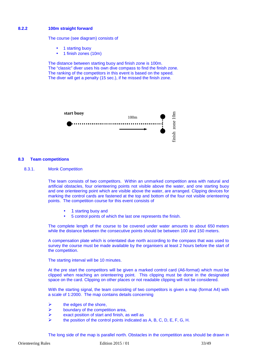#### **8.2.2 100m straight forward**

The course (see diagram) consists of

- 1 starting buoy
- 1 finish zones (10m)

The distance between starting buoy and finish zone is 100m. The "classic" diver uses his own dive compass to find the finish zone. The ranking of the competitors in this event is based on the speed. The diver will get a penalty (15 sec.), if he missed the finish zone.



#### **8.3 Team competitions**

8.3.1. Monk Competition

The team consists of two competitors. Within an unmarked competition area with natural and artificial obstacles, four orienteering points not visible above the water, and one starting buoy and one orienteering point which are visible above the water, are arranged. Clipping devices for marking the control cards are fastened at the top and bottom of the four not visible orienteering points. The competition course for this event consists of

- 1 starting buoy and
- 5 control points of which the last one represents the finish.

The complete length of the course to be covered under water amounts to about 650 meters while the distance between the consecutive points should be between 100 and 150 meters.

A compensation plate which is orientated due north according to the compass that was used to survey the course must be made available by the organisers at least 2 hours before the start of the competition.

The starting interval will be 10 minutes.

At the pre start the competitors will be given a marked control card (A6-format) which must be clipped when reaching an orienteering point. This clipping must be done in the designated space on the card. Clipping on other places or not readable clipping will not be considered.

With the starting signal, the team consisting of two competitors is given a map (format A4) with a scale of 1:2000. The map contains details concerning

- $\triangleright$  the edges of the shore,
- $\triangleright$  boundary of the competition area,
- $\triangleright$  exact position of start and finish, as well as
- the position of the control points indicated as A, B, C, D, E, F, G, H.

The long side of the map is parallel north. Obstacles in the competition area should be drawn in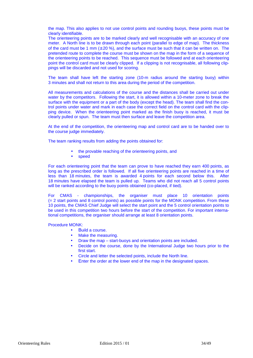the map. This also applies to not use control points and rounding buoys, these points must be clearly identifiable.

The orienteering points are to be marked clearly and well recognisable with an accuracy of one meter. A North line is to be drawn through each point (parallel to edge of map). The thickness of the card must be 1 mm  $(\pm 20 \%)$ , and the surface must be such that it can be written on. The pretended route to complete the course must be shown on the map in the form of a sequence of the orienteering points to be reached. This sequence must be followed and at each orienteering point the control card must be clearly clipped. If a clipping is not recognisable, all following clippings will be discarded and not used for scoring.

The team shall have left the starting zone (10-m radius around the starting buoy) within 3 minutes and shall not return to this area during the period of the competition.

All measurements and calculations of the course and the distances shall be carried out under water by the competitors. Following the start, it is allowed within a 10-meter zone to break the surface with the equipment or a part of the body (except the head). The team shall find the control points under water and mark in each case the correct field on the control card with the clipping device. When the orienteering point marked as the finish buoy is reached, it must be clearly pulled or spun. The team must then surface and leave the competition area.

At the end of the competition, the orienteering map and control card are to be handed over to the course judge immediately.

The team ranking results from adding the points obtained for:

- the provable reaching of the orienteering points, and
- speed

For each orienteering point that the team can prove to have reached they earn 400 points, as long as the prescribed order is followed. If all five orienteering points are reached in a time of less than 18 minutes, the team is awarded 4 points for each second below this. After 18 minutes have elapsed the team is pulled up. Teams who did not reach all 5 control points will be ranked according to the buoy points obtained (co-placed, if tied).

For CMAS - championships, the organiser must place 10 orientation points  $(= 2 \text{ start points and } 8 \text{ control points})$  as possible points for the MONK competition. From these 10 points, the CMAS Chief Judge will select the start point and the 5 control orientation points to be used in this competition two hours before the start of the competition. For important international competitions, the organiser should arrange at least 8 orientation points.

Procedure MONK:

- Build a course.
- Make the measuring.
- Draw the map start-buoys and orientation points are included.
- Decide on the course, done by the International Judge two hours prior to the first start.
- Circle and letter the selected points, include the North line.
- Enter the order at the lower end of the map in the designated spaces.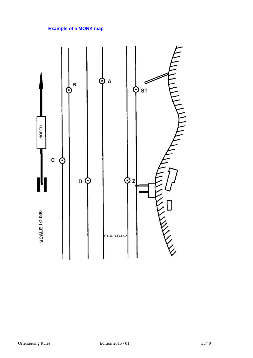## **Example of a MONK map**

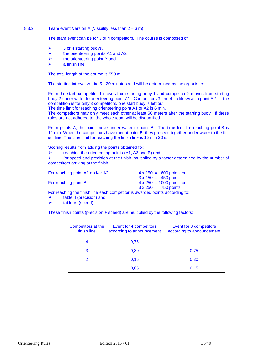#### 8.3.2. Team event Version A (Visibility less than 2 – 3 m)

The team event can be for 3 or 4 competitors. The course is composed of

- $\geq$  3 or 4 starting buoys,
- $\triangleright$  the orienteering points A1 and A2,
- $\triangleright$  the orienteering point B and
- a finish line

The total length of the course is 550 m

The starting interval will be 5 - 20 minutes and will be determined by the organisers.

From the start, competitor 1 moves from starting buoy 1 and competitor 2 moves from starting buoy 2 under water to orienteering point A1. Competitors 3 and 4 do likewise to point A2. If the competition is for only 3 competitors, one start buoy is left out.

The time limit for reaching orienteering point A1 or A2 is 6 min.

The competitors may only meet each other at least 50 meters after the starting buoy. If these rules are not adhered to, the whole team will be disqualified.

From points A, the pairs move under water to point B. The time limit for reaching point B is 11 min. When the competitors have met at point B, they proceed together under water to the finish line. The time limit for reaching the finish line is 15 min 20 s.

Scoring results from adding the points obtained for:

 $\triangleright$  reaching the orienteering points (A1, A2 and B) and

 $\triangleright$  for speed and precision at the finish, multiplied by a factor determined by the number of competitors arriving at the finish.

| For reaching point A1 and/or A2: | $4 \times 150 = 600$ points or  |
|----------------------------------|---------------------------------|
|                                  | $3 \times 150 = 450$ points     |
| For reaching point B             | $4 \times 250 = 1000$ points or |
|                                  | $3 \times 250 = 750$ points     |

For reaching the finish line each competitor is awarded points according to:

- table I (precision) and
- $\triangleright$  table VI (speed).

These finish points (precision + speed) are multiplied by the following factors:

| Competitors at the<br>finish line | Event for 4 competitors<br>according to announcement | Event for 3 competitors<br>according to announcement |
|-----------------------------------|------------------------------------------------------|------------------------------------------------------|
|                                   | 0,75                                                 |                                                      |
|                                   | 0,30                                                 | 0,75                                                 |
|                                   | 0,15                                                 | 0,30                                                 |
|                                   | 0,05                                                 | 0.15                                                 |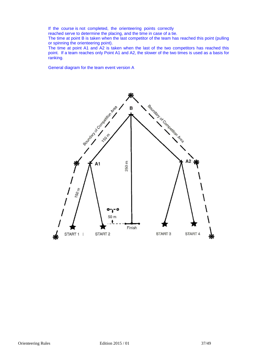If the course is not completed, the orienteering points correctly

reached serve to determine the placing, and the time in case of a tie.

The time at point B is taken when the last competitor of the team has reached this point (pulling or spinning the orienteering point).

The time at point A1 and A2 is taken when the last of the two competitors has reached this point. If a team reaches only Point A1 and A2, the slower of the two times is used as a basis for ranking.

General diagram for the team event version A

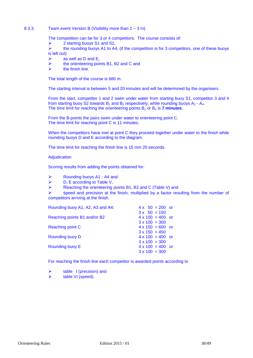#### 8.3.3. Team event Version B (Visibility more than 2 – 3 m)

The competition can be for 3 or 4 competitors. The course consists of:

- $\triangleright$  2 starting buoys S1 and S2,
- $\triangleright$  the rounding buoys A1 to A4, (if the competition is for 3 competitors, one of these buoys is left out)
- $\triangleright$  as well as D and E.
- $\triangleright$  the orienteering points B1, B2 and C and
- $\triangleright$  the finish line.

The total length of the course is 680 m.

The starting interval is between 5 and 20 minutes and will be determined by the organisers.

From the start, competitor 1 and 2 swim under water from starting buoy S1, competitor 3 and 4 from starting buoy S2 towards  $B_1$  and  $B_2$  respectively, while rounding buoys A<sub>1</sub> - A<sub>4</sub>. The time limit for reaching the orienteering points  $B_1$  or  $B_2$  is **7 minutes**.

From the B-points the pairs swim under water to orienteering point C. The time limit for reaching point C is 11 minutes.

When the competitors have met at point C they proceed together under water to the finish while rounding buoys D and E according to the diagram.

The time limit for reaching the finish line is 15 min 20 seconds.

**Adjudication** 

Scoring results from adding the points obtained for:

- Rounding buoys A1 A4 and
- $\triangleright$  D, E according to Table V,
- $\triangleright$  Reaching the orienteering points B1, B2 and C (Table V) and

 $\triangleright$  speed and precision at the finish, multiplied by a factor resulting from the number of competitors arriving at the finish.

| Rounding buoy A1, A2, A3 and A4: | $4 \times 50 = 200$ or  |
|----------------------------------|-------------------------|
|                                  | $3x + 50 = 150$         |
| Reaching points B1 and/or B2     | $4 \times 100 = 400$ or |
|                                  | $3 \times 100 = 300$    |
| Reaching point C                 | $4 \times 150 = 600$ or |
|                                  | $3 \times 150 = 450$    |
| Rounding buoy D                  | $4 \times 100 = 400$ or |
|                                  | $3 \times 100 = 300$    |
| Rounding buoy E                  | $4 \times 100 = 400$ or |
|                                  | $3 \times 100 = 300$    |

For reaching the finish line each competitor is awarded points according to

 $\triangleright$  table I (precision) and table VI (speed).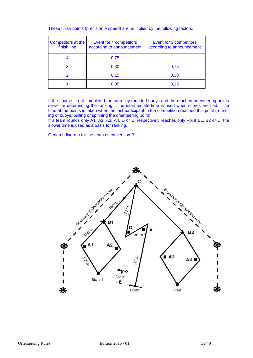|  | These finish points (precision + speed) are multiplied by the following factors: |  |  |  |  |
|--|----------------------------------------------------------------------------------|--|--|--|--|
|--|----------------------------------------------------------------------------------|--|--|--|--|

| Competitors at the<br>finish line | Event for 4 competitors<br>according to announcement | Event for 3 competitors<br>according to announcement |
|-----------------------------------|------------------------------------------------------|------------------------------------------------------|
|                                   | 0,75                                                 |                                                      |
| 3                                 | 0,30                                                 | 0,75                                                 |
|                                   | 0,15                                                 | 0,30                                                 |
|                                   | 0,05                                                 | 0,15                                                 |

If the course is not completed the correctly rounded buoys and the reached orienteering points serve for determining the ranking. The intermediate time is used when scores are tied. The time at the points is taken when the last participant in the competition reached this point (rounding of buoys, pulling or spinning the orienteering point).

If a team rounds only A1, A2, A3, A4, D or E, respectively reaches only Point B1, B2 or C, the slower time is used as a basis for ranking.

General diagram for the team event version B

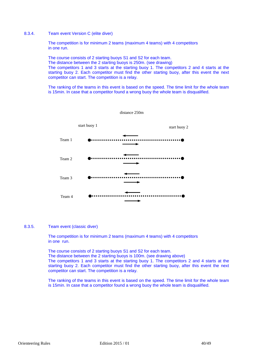#### 8.3.4. Team event Version C (elite diver)

The competition is for minimum 2 teams (maximum 4 teams) with 4 competitors in one run.

The course consists of 2 starting buoys S1 and S2 for each team. The distance between the 2 starting buoys is 250m. (see drawing) The competitors 1 and 3 starts at the starting buoy 1. The competitors 2 and 4 starts at the starting buoy 2. Each competitor must find the other starting buoy, after this event the next competitor can start. The competition is a relay.

The ranking of the teams in this event is based on the speed. The time limit for the whole team is 15min. In case that a competitor found a wrong buoy the whole team is disqualified.

distance 250m



#### 8.3.5. Team event (classic diver)

The competition is for minimum 2 teams (maximum 4 teams) with 4 competitors in one run.

The course consists of 2 starting buoys S1 and S2 for each team.

The distance between the 2 starting buoys is 100m. (see drawing above)

The competitors 1 and 3 starts at the starting buoy 1. The competitors 2 and 4 starts at the starting buoy 2. Each competitor must find the other starting buoy, after this event the next competitor can start. The competition is a relay.

The ranking of the teams in this event is based on the speed. The time limit for the whole team is 15min. In case that a competitor found a wrong buoy the whole team is disqualified.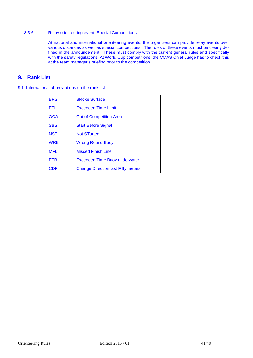### 8.3.6. Relay orienteering event, Special Competitions

At national and international orienteering events, the organisers can provide relay events over various distances as well as special competitions. The rules of these events must be clearly defined in the announcement. These must comply with the current general rules and specifically with the safety regulations. At World Cup competitions, the CMAS Chief Judge has to check this at the team manager's briefing prior to the competition.

## **9. Rank List**

| 9.1. International abbreviations on the rank list |  |
|---------------------------------------------------|--|
|---------------------------------------------------|--|

| <b>BRS</b> | <b>BRoke Surface</b>                      |
|------------|-------------------------------------------|
| <b>ETL</b> | <b>Exceeded Time Limit</b>                |
| <b>OCA</b> | <b>Out of Competition Area</b>            |
| <b>SBS</b> | <b>Start Before Signal</b>                |
| <b>NST</b> | <b>Not STarted</b>                        |
| <b>WRB</b> | <b>Wrong Round Buoy</b>                   |
| <b>MFL</b> | <b>Missed Finish Line</b>                 |
| ETB        | <b>Exceeded Time Buoy underwater</b>      |
| CDE        | <b>Change Direction last Fifty meters</b> |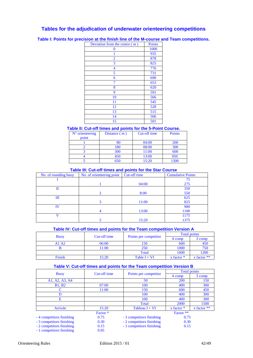## **Tables for the adjudication of underwater orienteering competitions**

| Deviation from the centre (m) | <b>Points</b> |
|-------------------------------|---------------|
| 0                             | 1000          |
|                               | 935           |
| 2                             | 878           |
| 3                             | 825           |
| 4                             | 776           |
| 5                             | 731           |
| 6                             | 690           |
| 7                             | 653           |
| 8                             | 620           |
| 9                             | 591           |
| 10                            | 566           |
| 11                            | 545           |
| 12                            | 528           |
| 13                            | 515           |
| 14                            | 506           |
| 15                            | 501           |

**Table I: Points for precision at the finish line of the M-course and Team competitions.** 

## **Table II: Cut-off times and points for the 5-Point Course.**

| $N°$ orienteering<br>point | Distance $(m)$ | Cut-off time | <b>Points</b> |
|----------------------------|----------------|--------------|---------------|
|                            |                |              |               |
|                            |                | 04:00        | <b>200</b>    |
|                            | 180            | 08:00        | 300           |
|                            | 300            | 11:00        | 600           |
|                            | 450            | 13:00        | 950           |
|                            | 650            | 15:20        | 1300          |

#### **Table III: Cut-off times and points for the Star Course**

| No. of rounding buoy | No. of orienteering point | Cut-off time | <b>Cumulative Points</b> |
|----------------------|---------------------------|--------------|--------------------------|
|                      |                           |              | 75                       |
|                      |                           | 04:00        | 275                      |
|                      |                           |              | 350                      |
|                      |                           | 8:00         | 550                      |
| Ш                    |                           |              | 625                      |
|                      |                           | 11:00        | 825                      |
| ΙV                   |                           |              | 900                      |
|                      |                           | 13:00        | 1100                     |
|                      |                           |              | 1175                     |
|                      |                           | 15:20        | 1375                     |

#### **Table IV: Cut-off times and points for the Team competition Version A**

|             | Cut-off time |                       | Total points   |               |  |
|-------------|--------------|-----------------------|----------------|---------------|--|
| <b>Buoy</b> |              | Points per competitor | 4 comp         | 3 comp        |  |
| A1A2        | 06:00        | 150                   | 600            | 450           |  |
|             | 11:00        | 250                   | 1000           | 750           |  |
|             |              | Total                 | 1600           | 1200          |  |
| Finish      | 15:20        | Table $I + VI$        | $x$ factor $*$ | x factor $**$ |  |

#### **Table V: Cut-off times and points for the Team competition Version B**

|                           | Cut-off time |                           | <b>Total points</b> |                 |  |
|---------------------------|--------------|---------------------------|---------------------|-----------------|--|
| <b>Buoy</b>               |              | Points per competitor     | 4 comp              | 3 comp          |  |
| A1, A2, A3, A4            |              | 50                        | <b>200</b>          | 150             |  |
| <b>B1, B2</b>             | 07:00        | 100                       | 400                 | 300             |  |
| C                         | 11:00        | 150                       | 600                 | 450             |  |
| D                         |              | 100                       | 400                 | 300             |  |
| Е                         |              | 100                       | 400                 | 300             |  |
|                           |              | Total                     | 2000                | 1500            |  |
| Arrivée                   | 15:20        | Tableau $I + VI$          | $x$ factor $*$      | $x$ factor $**$ |  |
|                           | Factor *     |                           | Factor **           |                 |  |
| - 4 competitors finishing | 0.75         | - 3 competitors finishing | 0.75                |                 |  |
| - 3 competitors finishing | 0.30         | - 2 competitors finishing | 0.30                |                 |  |
| - 2 competitors finishing | 0.15         | - 1 competitors finishing | 0.15                |                 |  |
| - 1 competitors finishing | 0.05         |                           |                     |                 |  |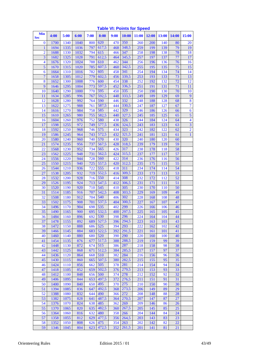| <b>Min</b><br><b>Sec</b> | 4:00         | 5:00         | 6:00        | 7:00       | 8:00         | <b>9:00</b> | 10:00        | 11:00      | 12:00      | <b>13:00</b> | 14:00    | 15:00                   |
|--------------------------|--------------|--------------|-------------|------------|--------------|-------------|--------------|------------|------------|--------------|----------|-------------------------|
| $\bf{0}$                 | 1700         | 1340         | 1040        | 800        | 620          | 470         | 350          | 260        | 200        | 140          | 80       | 20                      |
| 1                        | 1694         | 1335         | 1036        | 797        | 617,5        | 468         | 348,5        | 259        | 199        | 139          | 79       | 19                      |
| $\overline{2}$           | 1688         | 1330         | 1032        | 794        | 615          | 466         | 347          | 258        | 198        | 138          | 78       | 18                      |
| 3                        | 1682         | 1325         | 1028        | 791        | 612,5        | 464         | 345,5        | 257        | 197        | 137          | 77       | 17                      |
| $\overline{\mathbf{4}}$  | 1676         | 1320         | 1024        | 788        | 610          | 462         | 344          | 256        | 196        | 136          | 76       | 16                      |
| 5                        | 1670         | 1315         | 1020        | 785        | 607,5        | 460         | 342,5        | 255        | 195        | 135          | 75       | 15                      |
| 6                        | 1664         | 1310         | 1016        | 782        | 605          | 458         | 341          | 254        | 194        | 134          | 74       | 14                      |
| $\overline{7}$           | 1658         | 1305         | 1012        | 779        | 602,5        | 456         | 339,5        | 253        | 193        | 133          | 73       | 13                      |
| 8                        | 1652         | 1300         | 1008        | 776        | 600          | 454         | 338          | 252        | 192        | 132          | 72       | 12                      |
| 9                        | 1646         | 1295         | 1004        | 773        | 597,5        | 452         | 336,5        | 251        | 191        | 131          | 71       | 11                      |
| 10                       | 1640<br>1634 | 1290<br>1285 | 1000<br>996 | 770<br>767 | 595<br>592,5 | 450<br>448  | 335<br>333,5 | 250<br>249 | 190<br>189 | 130<br>129   | 70<br>69 | 10<br>9                 |
| 11<br>12                 | 1628         | 1280         | 992         | 764        | 590          | 446         | 332          | 248        | 188        | 128          | 68       | $\overline{\mathbf{8}}$ |
| 13                       | 1622         | 1275         | 988         | 761        | 587,5        | 444         | 330,5        | 247        | 187        | 127          | 67       | $\overline{7}$          |
| 14                       | 1616         | 1270         | 984         | 758        | 585          | 442         | 329          | 246        | 186        | 126          | 66       | $\boldsymbol{6}$        |
| 15                       | 1610         | 1265         | 980         | 755        | 582,5        | 440         | 327,5        | 245        | 185        | 125          | 65       | 5                       |
| 16                       | 1604         | 1260         | 976         | 752        | 580          | 438         | 326          | 244        | 184        | 124          | 64       | $\overline{\mathbf{4}}$ |
| 17                       | 1598         | 1255         | 972         | 749        | 577,5        | 436         | 324,5        | 243        | 183        | 123          | 63       | $\overline{3}$          |
| 18                       | 1592         | 1250         | 968         | 746        | 575          | 434         | 323          | 242        | 182        | 122          | 62       | $\overline{2}$          |
| 19                       | 1586         | 1245         | 964         | 743        | 572,5        | 432         | 321,5        | 241        | 181        | 121          | 61       | $\mathbf{1}$            |
| 20                       | 1580         | 1240         | 960         | 740        | 570          | 430         | 320          | 240        | 180        | 120          | 60       |                         |
| 21                       | 1574         | 1235         | 956         | 737        | 567,5        | 428         | 318,5        | 239        | 179        | 119          | 59       |                         |
| 22                       | 1568         | 1230         | 952         | 734        | 565          | 426         | 317          | 238        | 178        | 118          | 58       |                         |
| 23                       | 1562         | 1225         | 948         | 731        | 562,5        | 424         | 315,5        | 237        | 177        | 117          | 57       |                         |
| 24                       | 1556         | 1220         | 944         | 728        | 560          | 422         | 314          | 236        | 176        | 116          | 56       |                         |
| 25                       | 1550         | 1215         | 940         | 725        | 557,5        | 420         | 312,5        | 235        | 175        | 115          | 55       |                         |
| 26                       | 1544         | 1210         | 936         | 722        | 555          | 418         | 311          | 234        | 174        | 114          | 54       |                         |
| 27                       | 1538         | 1205         | 932         | 719        | 552,5        | 416         | 309,5        | 233        | 173        | 113          | 53       |                         |
| 28                       | 1532         | 1200         | 928         | 716        | 550          | 414         | 308          | 232        | 172        | 112          | 52       |                         |
| 29<br>30                 | 1526         | 1195<br>1190 | 924<br>920  | 713<br>710 | 547,5<br>545 | 412<br>410  | 306,5<br>305 | 231<br>230 | 171<br>170 | 111<br>110   | 51<br>50 |                         |
| 31                       | 1520<br>1514 | 1185         | 916         | 707        | 542,5        | 408         | 303,5        | 229        | 169        | 109          | 49       |                         |
| 32                       | 1508         | 1180         | 912         | 704        | 540          | 406         | 302          | 228        | 168        | 108          | 48       |                         |
| 33                       | 1502         | 1175         | 908         | 701        | 537,5        | 404         | 300,5        | 227        | 167        | 107          | 47       |                         |
| 34                       | 1496         | 1170         | 904         | 698        | 535          | 402         | 299          | 226        | 166        | 106          | 46       |                         |
| 35                       | 1490         | 1165         | 900         | 695        | 532,5        | 400         | 297,5        | 225        | 165        | 105          | 45       |                         |
| 36                       | 1484         | 1160         | 896         | 692        | 530          | 398         | 296          | 224        | 164        | 104          | 44       |                         |
| 37                       | 1478         | 1155         | 892         |            | 689 527,5    | 396         | 294,5        | 223        | 163        | 103          | 43       |                         |
| 38                       | 1472         | 1150         | 888         | 686        | 525          | 394         | 293          | 222        | 162        | 102          | 42       |                         |
| 39                       | 1466         | 1145         | 884         | 683        | 522,5        | 392         | 291,5        | 221        | 161        | 101          | 41       |                         |
| 40                       | 1460         | 1140         | 880         | 680        | 520          | 390         | 290          | 220        | 160        | 100          | 40       |                         |
| 41                       | 1454         | 1135         | 876         | 677        | 517,5        | 388         | 288,5        | 219        | 159        | 99           | 39       |                         |
| 42                       | 1448         | 1130         | 872         | 674        | 515          | 386         | 287          | 218        | 158        | 98           | 38       |                         |
| 43                       | 1442         | 1125         | 868         | 671        | 512,5        | 384         | 285,5        | 217        | 157        | 97           | 37       |                         |
| 44                       | 1436         | 1120         | 864         | 668        | 510          | 382         | 284          | 216        | 156        | 96           | 36       |                         |
| 45                       | 1430         | 1115<br>1110 | 860         | 665        | 507,5<br>505 | 380         | 282,5<br>281 | 215        | 155        | 95           | 35<br>34 |                         |
| 46<br>47                 | 1424<br>1418 | 1105         | 856<br>852  | 662<br>659 | 502,5        | 378<br>376  | 279,5        | 214<br>213 | 154<br>153 | 94<br>93     | 33       |                         |
| 48                       | 1412         | 1100         | 848         | 656        | 500          | 374         | 278          | 212        | 152        | 92           | 32       |                         |
| 49                       | 1406         | 1095         | 844         | 653        | 497,5        | 372         | 276,5        | 211        | 151        | 91           | 31       |                         |
| 50                       | 1400         | 1090         | 840         | 650        | 495          | 370         | 275          | 210        | 150        | 90           | 30       |                         |
| 51                       | 1394         | 1085         | 836         | 647        | 492,5        | 368         | 273,5        | 206        | 149        | 89           | 29       |                         |
| 52                       | 1388         | 1080         | 832         | 644        | 490          | 366         | 272          | 208        | 148        | 88           | 28       |                         |
| 53                       | 1382         | 1075         | 828         | 641        | 487,5        | 364         | 270,5        | 207        | 147        | 87           | 27       |                         |
| 54                       | 1376         | 1070         | 824         | 638        | 485          | 362         | 269          | 209        | 146        | 86           | 26       |                         |
| 55                       | 1370         | 1065         | 820         | 635        | 482,5        | 360         | 267,5        | 205        | 145        | 85           | 25       |                         |
| 56                       | 1364         | 1060         | 816         | 632        | 480          | 358         | 266          | 204        | 144        | 84           | 24       |                         |
| 57                       | 1358         | 1055         | 812         | 629        | 477,5        | 356         | 264,5        | 203        | 143        | 83           | 23       |                         |
| 58                       | 1352         | 1050         | 808         | 626        | 475          | 354         | 263          | 202        | 142        | 82           | 22       |                         |
| 59                       | 1346         | 1045         | 804         | 623        | 472,5        | 352         | 261,5        | <b>201</b> | 141        | 81           | 21       |                         |

## **Table VI: Points for Speed**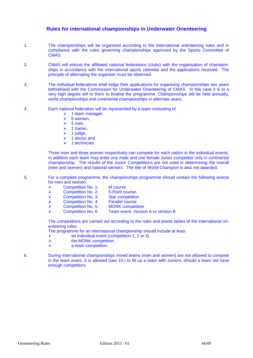## **Rules for international championships in Underwater Orienteering**

- 1. The championships will be organised according to the international orienteering rules and in compliance with the rules governing championships approved by the Sports Committee of CMAS.
- 2. CMAS will entrust the affiliated national federations (clubs) with the organisation of championships in accordance with the international sports calendar and the applications received. The principle of alternating the organiser must be observed.
- 3. The individual federations shall lodge their applications for organising championships two years beforehand with the Commission for Underwater Orienteering of CMAS. In this case it is to a very high degree left to them to finalise the programme. Championships will be held annually, world championships and continental championships in alternate years.
- 4. Each national federation will be represented by a team consisting of
	- $\geq 1$  team manager,<br> $\geq 5$  women,
	- $\geq 5$  women,<br> $\geq 5$  men,
	- $\geq$  5 men,<br> $\geq$  1 traine
	- $\geq 1$  trainer,<br> $\geq 1$  judge,
	- $\geq 1$  judge,<br> $\geq 1$  doctor
	- $\geq 1$  doctor and<br> $\geq 1$  technician
	- 1 technician.

Three men and three women respectively can compete for each nation in the individual events. In addition each team may enter one male and one female Junior competitor only in continental championship. The results of the Junior Competitions are not used in determining the overall (men and women) and national winners. The title of World Champion is also not awarded.

5. For a complete programme, the championships programme should contain the following events for men and women:

| ➤ | <b>Competition No. 1:</b> | M course                |
|---|---------------------------|-------------------------|
| ▸ | <b>Competition No. 2:</b> | 5-Point course-         |
| ➤ | <b>Competition No. 3:</b> | <b>Star competition</b> |

- → Competition No. 4: Parallel course<br>→ Competition No. 5: MONK competi
	-
- ▶ <b>Competition No. 5: MONK competition</b><br/>\n▶ Competition No. 6: Team event, Version Team event, Version A or version B

The competitions are carried out according to the rules and points tables of the international orienteering rules.

The programme for an international championship should include at least

- $\triangleright$  an individual event (competition 1, 2 or 3),<br>  $\triangleright$  the MONK competition
- the MONK competition
- $\triangleright$  a team competition.
- 6. During international championships mixed teams (men and women) are not allowed to compete in the team event. It is allowed (see 10.) to fill up a team with Juniors, should a team not have enough competitors.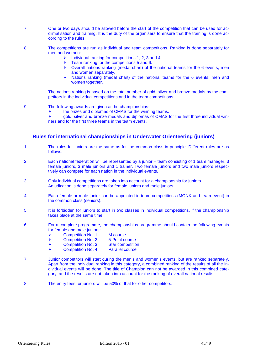- 7. One or two days should be allowed before the start of the competition that can be used for acclimatisation and training. It is the duty of the organisers to ensure that the training is done according to the rules.
- 8. The competitions are run as individual and team competitions. Ranking is done separately for men and women:
	- Individual ranking for competitions 1, 2, 3 and 4.<br>  $\triangleright$  Team ranking for the competitions 5 and 6
	- Team ranking for the competitions 5 and 6.
	- $\triangleright$  Overall nations ranking (medal chart) of the national teams for the 6 events, men and women separately.
	- $\geq$  Nations ranking (medal chart) of the national teams for the 6 events, men and women together.

The nations ranking is based on the total number of gold, silver and bronze medals by the competitors in the individual competitions and in the team competitions.

- 9. The following awards are given at the championships:
	- $\triangleright$  the prizes and diplomas of CMAS for the winning teams.<br>  $\triangleright$  oold, silver and bronze medals and diplomas of CMAS for

 gold, silver and bronze medals and diplomas of CMAS for the first three individual winners and for the first three teams in the team events.

## **Rules for international championships in Underwater Orienteering (juniors)**

- 1. The rules for juniors are the same as for the common class in principle. Different rules are as follows.
- 2. Each national federation will be represented by a junior team consisting of 1 team manager, 3 female juniors, 3 male juniors and 1 trainer. Two female juniors and two male juniors respectively can compete for each nation in the individual events.
- 3. Only individual competitions are taken into account for a championship for juniors. Adjudication is done separately for female juniors and male juniors.
- 4. Each female or male junior can be appointed in team competitions (MONK and team event) in the common class (seniors).
- 5. It is forbidden for juniors to start in two classes in individual competitions, if the championship takes place at the same time.
- 6. For a complete programme, the championships programme should contain the following events for female and male juniors:
	- ▶ Competition No. 1: M course
	- ▶ Competition No. 2: 5-Point course
	- ▶ Competition No. 3: Star competition
	- ▶ Competition No. 4: Parallel course
- 7. Junior competitors will start during the men's and women's events, but are ranked separately. Apart from the individual ranking in this category, a combined ranking of the results of all the individual events will be done. The title of Champion can not be awarded in this combined category, and the results are not taken into account for the ranking of overall national results.
- 8. The entry fees for juniors will be 50% of that for other competitors.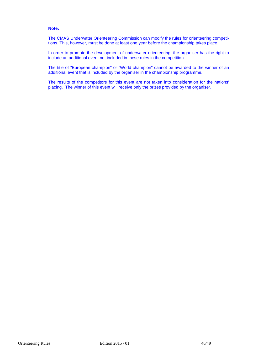#### **Note:**

The CMAS Underwater Orienteering Commission can modify the rules for orienteering competitions. This, however, must be done at least one year before the championship takes place.

In order to promote the development of underwater orienteering, the organiser has the right to include an additional event not included in these rules in the competition.

The title of "European champion" or "World champion" cannot be awarded to the winner of an additional event that is included by the organiser in the championship programme.

The results of the competitors for this event are not taken into consideration for the nations' placing. The winner of this event will receive only the prizes provided by the organiser.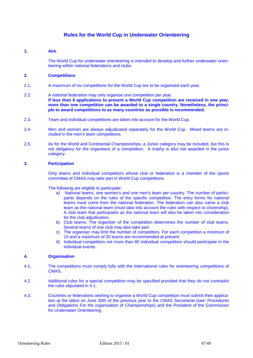## **Rules for the World Cup in Underwater Orienteering**

#### **1. Aim**

The World Cup for underwater orienteering is intended to develop and further underwater orienteering within national federations and clubs.

#### **2. Competitions**

2.1. A maximum of six competitions for the World Cup are to be organised each year.

#### 2.2. A national federation may only organise one competition per year. **If less than 6 applications to present a World Cup competition are received in one year, more than one competition can be awarded to a single country. Nonetheless, the principle to award competitions to as many countries as possible is recommended.**

- 2.3. Team and individual competitions are taken into account for the World Cup.
- 2.4. Men and women are always adjudicated separately for the World Cup. Mixed teams are included in the men's team competitions.
- 2.5. As for the World and Continental Championships, a Junior category may be included, but this is not obligatory for the organisers of a competition. A trophy is also not awarded in the junior category.

#### **3. Participation**

Only teams and individual competitors whose club or federation is a member of the sports committee of CMAS may take part in World Cup competitions.

The following are eligible to participate:

- a) National teams, one women's and one men's team per country. The number of participants depends on the rules of the specific competition. The entry forms for national teams must come from the national federation. The federation can also name a club team as the national team (must take into account the rules with respect to citizenship). A club team that participates as the national team will also be taken into consideration for the club adjudication.
- b) Club teams. The organiser of the competition determines the number of club teams. Several teams of one club may also take part.
- c) The organiser may limit the number of competitors. For each competition a minimum of 10 and a maximum of 20 teams are recommended at present.
- d) Individual competitors not more than 80 individual competitors should participate in the individual events.

#### **4. Organisation**

- 4.1. The competitions must comply fully with the international rules for orienteering competitions of CMAS.
- 4.2. Additional rules for a special competition may be specified provided that they do not contradict the rules stipulated in 4.1.
- 4.3. Countries or federations wishing to organise a World Cup competition must submit their application at the latest on June 30th of the previous year to the CMAS Secretariat (see: Procedures and Obligations For the organisation of Championships) and the President of the Commission for Underwater Orienteering.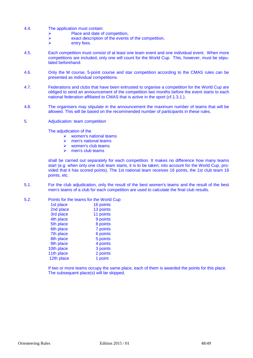- 4.4. The application must contain:
	- Place and date of competition,
	- $\triangleright$  exact description of the events of the competition,<br> $\triangleright$
	- entry fees.
- 4.5. Each competition must consist of at least one team event and one individual event. When more competitions are included, only one will count for the World Cup. This, however, must be stipulated beforehand.
- 4.6. Only the M course, 5-point course and star competition according to the CMAS rules can be presented as individual competitions.
- 4.7. Federations and clubs that have been entrusted to organise a competition for the World Cup are obliged to send an announcement of the competition two months before the event starts to each national federation affiliated to CMAS that is active in the sport (cf.1.3.1.).
- 4.8. The organisers may stipulate in the announcement the maximum number of teams that will be allowed. This will be based on the recommended number of participants in these rules.
- 5. Adjudication: team competition

The adjudication of the

- $\triangleright$  women's national teams
- $\triangleright$  men's national teams
- $\triangleright$  women's club teams
- $\triangleright$  men's club teams

shall be carried out separately for each competition. It makes no difference how many teams start (e.g. when only one club team starts, it is to be taken; into account for the World Cup, provided that it has scored points). The 1st national team receives 16 points, the 1st club team 16 points, etc.

5.1. For the club adjudication, only the result of the best women's teams and the result of the best men's teams of a club for each competition are used to calculate the final club results.

#### 5.2. Points for the teams for the World Cup

| 1st place  | 16 points |
|------------|-----------|
| 2nd place  | 13 points |
| 3rd place  | 11 points |
| 4th place  | 9 points  |
| 5th place  | 8 points  |
| 6th place  | 7 points  |
| 7th place  | 6 points  |
| 8th place  | 5 points  |
| 9th place  | 4 points  |
| 10th place | 3 points  |
| 11th place | 2 points  |
| 12th place | 1 point   |

If two or more teams occupy the same place, each of them is awarded the points for this place. The subsequent place(s) will be skipped.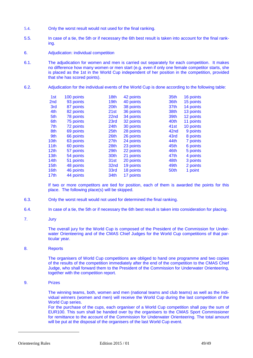- 5.4. Only the worst result would not used for the final ranking.
- 5.5. In case of a tie, the 5th or if necessary the 6th best result is taken into account for the final ranking.
- 6. Adjudication: individual competition
- 6.1. The adjudication for women and men is carried out separately for each competition. It makes no difference how many women or men start (e.g. even if only one female competitor starts, she is placed as the 1st in the World Cup independent of her position in the competition, provided that she has scored points).
- 6.2. Adjudication for the individual events of the World Cup is done according to the following table:

| 1st              | 100 points | 18th             | 42 points | 35th             | 16 points |
|------------------|------------|------------------|-----------|------------------|-----------|
| 2 <sub>nd</sub>  | 93 points  | 19 <sub>th</sub> | 40 points | 36th             | 15 points |
| 3rd              | 87 points  | 20th             | 38 points | 37 <sub>th</sub> | 14 points |
| 4th              | 82 points  | 21st             | 36 points | 38th             | 13 points |
| 5th              | 78 points  | 22nd             | 34 points | 39th             | 12 points |
| 6th              | 75 points  | 23rd             | 32 points | 40th             | 11 points |
| 7th              | 72 points  | 24 <sub>th</sub> | 30 points | 41 <sub>st</sub> | 10 points |
| 8th              | 69 points  | 25th             | 28 points | 42nd             | 9 points  |
| 9th              | 66 points  | 26th             | 26 points | 43rd             | 8 points  |
| 10th             | 63 points  | 27 <sub>th</sub> | 24 points | 44th             | 7 points  |
| 11th             | 60 points  | 28th             | 23 points | 45th             | 6 points  |
| 12 <sub>th</sub> | 57 points  | 29th             | 22 points | 46th             | 5 points  |
| 13th             | 54 points  | 30th             | 21 points | 47th             | 4 points  |
| 14th             | 51 points  | 31st             | 20 points | 48th             | 3 points  |
| 15th             | 48 points  | 32nd             | 19 points | 49th             | 2 points  |
| 16th             | 46 points  | 33rd             | 18 points | 50th             | 1 point   |
| 17th             | 44 points  | 34th             | 17 points |                  |           |
|                  |            |                  |           |                  |           |

If two or more competitors are tied for position, each of them is awarded the points for this place. The following place(s) will be skipped.

- 6.3. Only the worst result would not used for determined the final ranking.
- 6.4. In case of a tie, the 5th or if necessary the 6th best result is taken into consideration for placing.
- 7. Jury

The overall jury for the World Cup is composed of the President of the Commission for Underwater Orienteering and of the CMAS Chief Judges for the World Cup competitions of that particular year.

8. Reports

The organisers of World Cup competitions are obliged to hand one programme and two copies of the results of the competition immediately after the end of the competition to the CMAS Chief Judge, who shall forward them to the President of the Commission for Underwater Orienteering, together with the competition report.

9. Prizes

The winning teams, both, women and men (national teams and club teams) as well as the individual winners (women and men) will receive the World Cup during the last competition of the World Cup series.

For the purchase of the cups, each organiser of a World Cup competition shall pay the sum of EUR100. This sum shall be handed over by the organisers to the CMAS Sport Commissioner for remittance to the account of the Commission for Underwater Orienteering. The total amount will be put at the disposal of the organisers of the last World Cup event.

-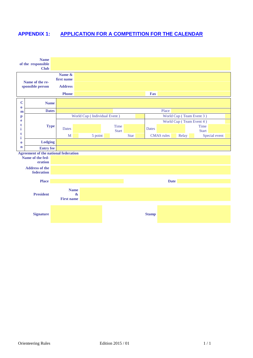# **APPENDIX 1: APPLICATION FOR A COMPETITION FOR THE CALENDAR**

|                                                                              | <b>Name</b><br><b>Club</b>                                                                                                                                                            |                                                        |                              |              |             |                   |             |                          |               |
|------------------------------------------------------------------------------|---------------------------------------------------------------------------------------------------------------------------------------------------------------------------------------|--------------------------------------------------------|------------------------------|--------------|-------------|-------------------|-------------|--------------------------|---------------|
|                                                                              |                                                                                                                                                                                       | Name &<br>first name<br><b>Address</b><br><b>Phone</b> |                              |              |             | <b>Fax</b>        |             |                          |               |
| $\mathbf C$                                                                  | Name of the re-<br>sponsible person<br><b>Name</b><br>t<br>Name of the fed-<br>eration<br><b>Address of the</b><br>federation<br><b>Place</b><br><b>President</b><br><b>Signature</b> |                                                        |                              |              |             |                   |             |                          |               |
| $\bf{0}$<br>m<br>$\mathbf{p}$<br>e<br>i<br>t<br>i<br>$\bf{0}$<br>$\mathbf n$ | <b>Dates</b>                                                                                                                                                                          |                                                        |                              |              |             |                   | Place       |                          |               |
|                                                                              |                                                                                                                                                                                       |                                                        | World Cup (Individual Event) |              |             |                   |             | World Cup (Team Event 3) |               |
|                                                                              |                                                                                                                                                                                       |                                                        |                              |              |             |                   |             | World Cup (Team Event 4) |               |
|                                                                              | <b>Type</b>                                                                                                                                                                           | <b>Dates</b>                                           |                              | Time         |             | <b>Dates</b>      |             |                          | <b>Time</b>   |
|                                                                              |                                                                                                                                                                                       |                                                        |                              | <b>Start</b> |             |                   |             |                          | <b>Start</b>  |
|                                                                              |                                                                                                                                                                                       | M                                                      |                              | 5 point      | <b>Star</b> | <b>CMAS</b> rules |             | Relay                    | Special event |
|                                                                              | <b>Lodging</b>                                                                                                                                                                        |                                                        |                              |              |             |                   |             |                          |               |
|                                                                              | <b>Entry fee</b>                                                                                                                                                                      |                                                        |                              |              |             |                   |             |                          |               |
|                                                                              |                                                                                                                                                                                       |                                                        |                              |              |             |                   |             |                          |               |
|                                                                              |                                                                                                                                                                                       |                                                        |                              |              |             |                   |             |                          |               |
|                                                                              |                                                                                                                                                                                       |                                                        |                              |              |             |                   |             |                          |               |
|                                                                              |                                                                                                                                                                                       |                                                        |                              |              |             |                   | <b>Date</b> |                          |               |
|                                                                              | of the responsible<br><b>Agreement of the national federation</b>                                                                                                                     | <b>Name</b><br><b>First name</b>                       | $\boldsymbol{\&}$            |              |             |                   |             |                          |               |
|                                                                              |                                                                                                                                                                                       |                                                        |                              |              |             | <b>Stamp</b>      |             |                          |               |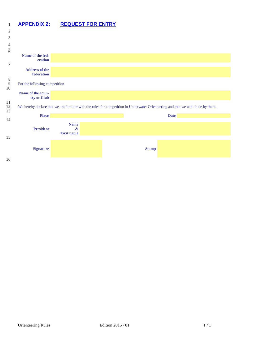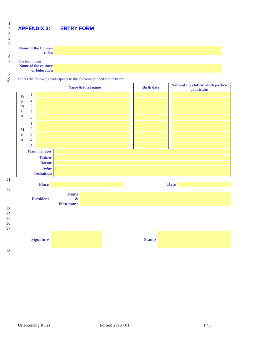# 2 **APPENDIX 3: ENTRY FORM**

| 4<br>5       |                     |  |
|--------------|---------------------|--|
|              | Name of the Compe-  |  |
|              | tition              |  |
| 6            |                     |  |
| 7            | The team from       |  |
|              | Name of the country |  |
|              | or federation       |  |
| $\mathbf{Q}$ |                     |  |

 $\begin{matrix}8\\10\end{matrix}$ 

1

 $\frac{2}{3}$ 

#### Enters the following participants to the abovementioned competition



18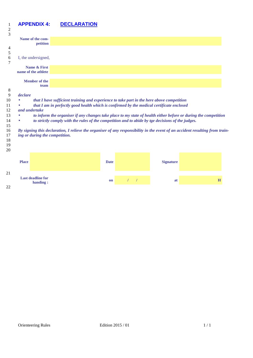# **APPENDIX 4: DECLARATION**

| $\overline{c}$ |              |                                      |                                                                                                                              |             |          |          |                  |   |  |
|----------------|--------------|--------------------------------------|------------------------------------------------------------------------------------------------------------------------------|-------------|----------|----------|------------------|---|--|
| 3              |              | Name of the com-                     |                                                                                                                              |             |          |          |                  |   |  |
|                |              | petition                             |                                                                                                                              |             |          |          |                  |   |  |
| 4              |              |                                      |                                                                                                                              |             |          |          |                  |   |  |
| 5<br>6         |              | I, the undersigned,                  |                                                                                                                              |             |          |          |                  |   |  |
| 7              |              |                                      |                                                                                                                              |             |          |          |                  |   |  |
|                |              | Name & First                         |                                                                                                                              |             |          |          |                  |   |  |
|                |              | name of the athlete                  |                                                                                                                              |             |          |          |                  |   |  |
|                |              | <b>Member of the</b>                 |                                                                                                                              |             |          |          |                  |   |  |
|                |              | team                                 |                                                                                                                              |             |          |          |                  |   |  |
| 8              |              |                                      |                                                                                                                              |             |          |          |                  |   |  |
| 9              | declare      |                                      |                                                                                                                              |             |          |          |                  |   |  |
| 10             |              |                                      | that I have sufficient training and experience to take part in the here above competition                                    |             |          |          |                  |   |  |
| 11             |              |                                      | that I am in perfectly good health which is confirmed by the medical certificate enclosed                                    |             |          |          |                  |   |  |
| 12             |              | and undertake                        |                                                                                                                              |             |          |          |                  |   |  |
| 13             |              |                                      | to inform the organiser if any changes take place to my state of health either before or during the competition              |             |          |          |                  |   |  |
| 14             | ۰            |                                      | to strictly comply with the rules of the competition and to abide by tge decisions of the judges.                            |             |          |          |                  |   |  |
| 15             |              |                                      |                                                                                                                              |             |          |          |                  |   |  |
| 16             |              |                                      | By signing this declaration, I relieve the organiser of any responsibility in the event of an accident resulting from train- |             |          |          |                  |   |  |
| 17             |              |                                      | ing or during the competition.                                                                                               |             |          |          |                  |   |  |
| 18             |              |                                      |                                                                                                                              |             |          |          |                  |   |  |
| 19             |              |                                      |                                                                                                                              |             |          |          |                  |   |  |
| 20             |              |                                      |                                                                                                                              |             |          |          |                  |   |  |
|                |              |                                      |                                                                                                                              |             |          |          |                  |   |  |
|                | <b>Place</b> |                                      |                                                                                                                              | <b>Date</b> |          |          | <b>Signature</b> |   |  |
|                |              |                                      |                                                                                                                              |             |          |          |                  |   |  |
| 21             |              |                                      |                                                                                                                              |             |          |          |                  |   |  |
|                |              | <b>Last deadline for</b><br>handing: |                                                                                                                              | on          | $\prime$ | $\prime$ | at               | H |  |
| 22             |              |                                      |                                                                                                                              |             |          |          |                  |   |  |
|                |              |                                      |                                                                                                                              |             |          |          |                  |   |  |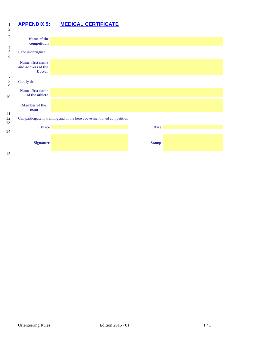# 1 **APPENDIX 5: MEDICAL CERTIFICATE**

| Name of the<br>competition<br>I, the undersigned,<br>Name, first name<br>and address of the<br><b>Doctor</b><br>Certify that<br>Name, first name<br>of the athlete<br><b>Member</b> of the<br>team<br>Can participate in training and in the here above mentioned competition<br><b>Place</b><br><b>Date</b><br><b>Signature</b><br><b>Stamp</b> |  |  |
|--------------------------------------------------------------------------------------------------------------------------------------------------------------------------------------------------------------------------------------------------------------------------------------------------------------------------------------------------|--|--|
|                                                                                                                                                                                                                                                                                                                                                  |  |  |
|                                                                                                                                                                                                                                                                                                                                                  |  |  |
|                                                                                                                                                                                                                                                                                                                                                  |  |  |
|                                                                                                                                                                                                                                                                                                                                                  |  |  |
|                                                                                                                                                                                                                                                                                                                                                  |  |  |
|                                                                                                                                                                                                                                                                                                                                                  |  |  |
|                                                                                                                                                                                                                                                                                                                                                  |  |  |
|                                                                                                                                                                                                                                                                                                                                                  |  |  |
|                                                                                                                                                                                                                                                                                                                                                  |  |  |
|                                                                                                                                                                                                                                                                                                                                                  |  |  |
|                                                                                                                                                                                                                                                                                                                                                  |  |  |
|                                                                                                                                                                                                                                                                                                                                                  |  |  |
|                                                                                                                                                                                                                                                                                                                                                  |  |  |
|                                                                                                                                                                                                                                                                                                                                                  |  |  |
|                                                                                                                                                                                                                                                                                                                                                  |  |  |
|                                                                                                                                                                                                                                                                                                                                                  |  |  |
|                                                                                                                                                                                                                                                                                                                                                  |  |  |
|                                                                                                                                                                                                                                                                                                                                                  |  |  |
|                                                                                                                                                                                                                                                                                                                                                  |  |  |
|                                                                                                                                                                                                                                                                                                                                                  |  |  |
|                                                                                                                                                                                                                                                                                                                                                  |  |  |
|                                                                                                                                                                                                                                                                                                                                                  |  |  |
|                                                                                                                                                                                                                                                                                                                                                  |  |  |
|                                                                                                                                                                                                                                                                                                                                                  |  |  |
|                                                                                                                                                                                                                                                                                                                                                  |  |  |
|                                                                                                                                                                                                                                                                                                                                                  |  |  |
|                                                                                                                                                                                                                                                                                                                                                  |  |  |